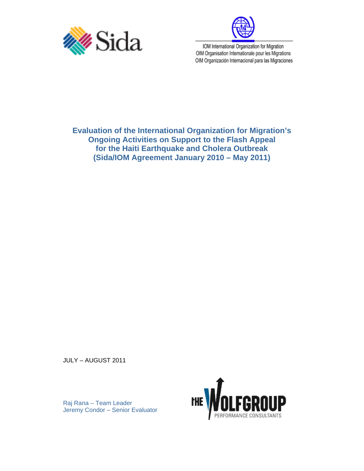



IOM International Organization for Migration OIM Organisation Internationale pour les Migrations OIM Organización Internacional para las Migraciones

# **Evaluation of the International Organization for Migration's Ongoing Activities on Support to the Flash Appeal for the Haiti Earthquake and Cholera Outbreak (Sida/IOM Agreement January 2010 – May 2011)**

JULY – AUGUST 2011

Raj Rana – Team Leader Jeremy Condor – Senior Evaluator

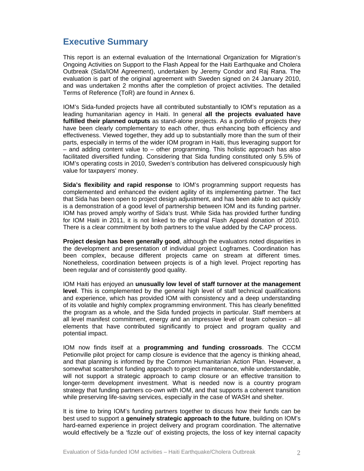# **Executive Summary**

This report is an external evaluation of the International Organization for Migration's Ongoing Activities on Support to the Flash Appeal for the Haiti Earthquake and Cholera Outbreak (Sida/IOM Agreement), undertaken by Jeremy Condor and Raj Rana. The evaluation is part of the original agreement with Sweden signed on 24 January 2010, and was undertaken 2 months after the completion of project activities. The detailed Terms of Reference (ToR) are found in Annex 6.

IOM's Sida-funded projects have all contributed substantially to IOM's reputation as a leading humanitarian agency in Haiti. In general **all the projects evaluated have fulfilled their planned outputs** as stand-alone projects. As a portfolio of projects they have been clearly complementary to each other, thus enhancing both efficiency and effectiveness. Viewed together, they add up to substantially more than the sum of their parts, especially in terms of the wider IOM program in Haiti, thus leveraging support for – and adding content value to – other programming. This holistic approach has also facilitated diversified funding. Considering that Sida funding constituted only 5.5% of IOM's operating costs in 2010, Sweden's contribution has delivered conspicuously high value for taxpayers' money.

**Sida's flexibility and rapid response** to IOM's programming support requests has complemented and enhanced the evident agility of its implementing partner. The fact that Sida has been open to project design adjustment, and has been able to act quickly is a demonstration of a good level of partnership between IOM and its funding partner. IOM has proved amply worthy of Sida's trust. While Sida has provided further funding for IOM Haiti in 2011, it is not linked to the original Flash Appeal donation of 2010. There is a clear commitment by both partners to the value added by the CAP process.

**Project design has been generally good**, although the evaluators noted disparities in the development and presentation of individual project Logframes. Coordination has been complex, because different projects came on stream at different times. Nonetheless, coordination between projects is of a high level. Project reporting has been regular and of consistently good quality.

IOM Haiti has enjoyed an **unusually low level of staff turnover at the management level**. This is complemented by the general high level of staff technical qualifications and experience, which has provided IOM with consistency and a deep understanding of its volatile and highly complex programming environment. This has clearly benefitted the program as a whole, and the Sida funded projects in particular. Staff members at all level manifest commitment, energy and an impressive level of team cohesion – all elements that have contributed significantly to project and program quality and potential impact.

IOM now finds itself at a **programming and funding crossroads**. The CCCM Petionville pilot project for camp closure is evidence that the agency is thinking ahead, and that planning is informed by the Common Humanitarian Action Plan. However, a somewhat scattershot funding approach to project maintenance, while understandable, will not support a strategic approach to camp closure or an effective transition to longer-term development investment. What is needed now is a country program strategy that funding partners co-own with IOM, and that supports a coherent transition while preserving life-saving services, especially in the case of WASH and shelter.

It is time to bring IOM's funding partners together to discuss how their funds can be best used to support a **genuinely strategic approach to the future**, building on IOM's hard-earned experience in project delivery and program coordination. The alternative would effectively be a 'fizzle out' of existing projects, the loss of key internal capacity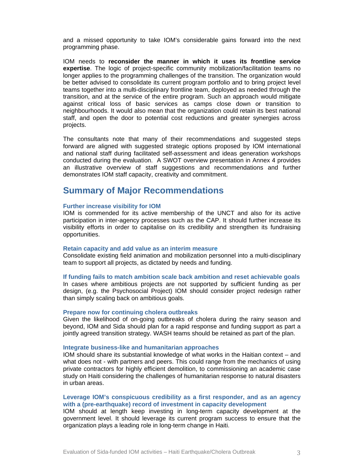and a missed opportunity to take IOM's considerable gains forward into the next programming phase.

IOM needs to **reconsider the manner in which it uses its frontline service expertise**. The logic of project-specific community mobilization/facilitation teams no longer applies to the programming challenges of the transition. The organization would be better advised to consolidate its current program portfolio and to bring project level teams together into a multi-disciplinary frontline team, deployed as needed through the transition, and at the service of the entire program. Such an approach would mitigate against critical loss of basic services as camps close down or transition to neighbourhoods. It would also mean that the organization could retain its best national staff, and open the door to potential cost reductions and greater synergies across projects.

The consultants note that many of their recommendations and suggested steps forward are aligned with suggested strategic options proposed by IOM international and national staff during facilitated self-assessment and ideas generation workshops conducted during the evaluation. A SWOT overview presentation in Annex 4 provides an illustrative overview of staff suggestions and recommendations and further demonstrates IOM staff capacity, creativity and commitment.

# **Summary of Major Recommendations**

#### **Further increase visibility for IOM**

IOM is commended for its active membership of the UNCT and also for its active participation in inter-agency processes such as the CAP. It should further increase its visibility efforts in order to capitalise on its credibility and strengthen its fundraising opportunities.

#### **Retain capacity and add value as an interim measure**

Consolidate existing field animation and mobilization personnel into a multi-disciplinary team to support all projects, as dictated by needs and funding.

#### **If funding fails to match ambition scale back ambition and reset achievable goals**

In cases where ambitious projects are not supported by sufficient funding as per design, (e.g. the Psychosocial Project) IOM should consider project redesign rather than simply scaling back on ambitious goals.

#### **Prepare now for continuing cholera outbreaks**

Given the likelihood of on-going outbreaks of cholera during the rainy season and beyond, IOM and Sida should plan for a rapid response and funding support as part a jointly agreed transition strategy. WASH teams should be retained as part of the plan.

#### **Integrate business-like and humanitarian approaches**

IOM should share its substantial knowledge of what works in the Haitian context – and what does not - with partners and peers. This could range from the mechanics of using private contractors for highly efficient demolition, to commissioning an academic case study on Haiti considering the challenges of humanitarian response to natural disasters in urban areas.

# **Leverage IOM's conspicuous credibility as a first responder, and as an agency with a (pre-earthquake) record of investment in capacity development**

IOM should at length keep investing in long-term capacity development at the government level. It should leverage its current program success to ensure that the organization plays a leading role in long-term change in Haiti.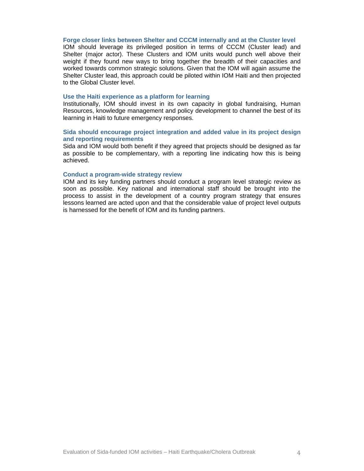#### **Forge closer links between Shelter and CCCM internally and at the Cluster level**

IOM should leverage its privileged position in terms of CCCM (Cluster lead) and Shelter (major actor). These Clusters and IOM units would punch well above their weight if they found new ways to bring together the breadth of their capacities and worked towards common strategic solutions. Given that the IOM will again assume the Shelter Cluster lead, this approach could be piloted within IOM Haiti and then projected to the Global Cluster level.

#### **Use the Haiti experience as a platform for learning**

Institutionally, IOM should invest in its own capacity in global fundraising, Human Resources, knowledge management and policy development to channel the best of its learning in Haiti to future emergency responses.

# **Sida should encourage project integration and added value in its project design and reporting requirements**

Sida and IOM would both benefit if they agreed that projects should be designed as far as possible to be complementary, with a reporting line indicating how this is being achieved.

#### **Conduct a program-wide strategy review**

IOM and its key funding partners should conduct a program level strategic review as soon as possible. Key national and international staff should be brought into the process to assist in the development of a country program strategy that ensures lessons learned are acted upon and that the considerable value of project level outputs is harnessed for the benefit of IOM and its funding partners.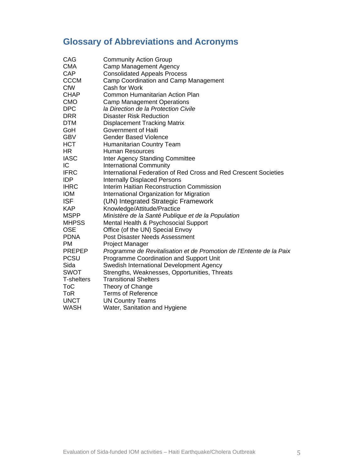# **Glossary of Abbreviations and Acronyms**

| CAG               | <b>Community Action Group</b>                                       |
|-------------------|---------------------------------------------------------------------|
| <b>CMA</b>        | Camp Management Agency                                              |
| CAP               | <b>Consolidated Appeals Process</b>                                 |
| <b>CCCM</b>       | Camp Coordination and Camp Management                               |
| CfW               | Cash for Work                                                       |
| <b>CHAP</b>       | Common Humanitarian Action Plan                                     |
| <b>CMO</b>        | <b>Camp Management Operations</b>                                   |
| <b>DPC</b>        | la Direction de la Protection Civile                                |
| <b>DRR</b>        | <b>Disaster Risk Reduction</b>                                      |
| <b>DTM</b>        | <b>Displacement Tracking Matrix</b>                                 |
| GoH               | Government of Haiti                                                 |
| <b>GBV</b>        | <b>Gender Based Violence</b>                                        |
| <b>HCT</b>        | Humanitarian Country Team                                           |
| <b>HR</b>         | Human Resources                                                     |
| <b>IASC</b>       | Inter Agency Standing Committee                                     |
| IC                | <b>International Community</b>                                      |
| <b>IFRC</b>       | International Federation of Red Cross and Red Crescent Societies    |
| <b>IDP</b>        | <b>Internally Displaced Persons</b>                                 |
| <b>IHRC</b>       | Interim Haitian Reconstruction Commission                           |
| <b>IOM</b>        | International Organization for Migration                            |
| <b>ISF</b>        | (UN) Integrated Strategic Framework                                 |
| <b>KAP</b>        | Knowledge/Attitude/Practice                                         |
| <b>MSPP</b>       | Ministère de la Santé Publique et de la Population                  |
| <b>MHPSS</b>      | Mental Health & Psychosocial Support                                |
| <b>OSE</b>        | Office (of the UN) Special Envoy                                    |
| <b>PDNA</b>       | <b>Post Disaster Needs Assessment</b>                               |
| <b>PM</b>         | <b>Project Manager</b>                                              |
| <b>PREPEP</b>     | Programme de Revitalisation et de Promotion de l'Entente de la Paix |
| <b>PCSU</b>       | Programme Coordination and Support Unit                             |
| Sida              | Swedish International Development Agency                            |
| <b>SWOT</b>       | Strengths, Weaknesses, Opportunities, Threats                       |
| <b>T-shelters</b> | <b>Transitional Shelters</b>                                        |
| ToC               | Theory of Change                                                    |
| ToR               | <b>Terms of Reference</b>                                           |
| <b>UNCT</b>       | <b>UN Country Teams</b>                                             |
| WASH              | Water, Sanitation and Hygiene                                       |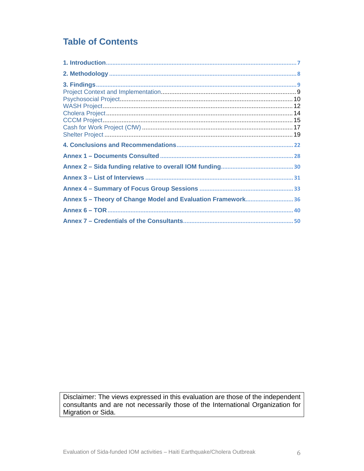# **Table of Contents**

| Annex 5 - Theory of Change Model and Evaluation Framework 36 |  |
|--------------------------------------------------------------|--|
|                                                              |  |
|                                                              |  |

Disclaimer: The views expressed in this evaluation are those of the independent consultants and are not necessarily those of the International Organization for Migration or Sida.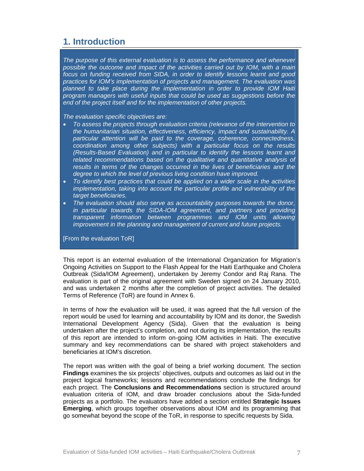# **1. Introduction**

*The purpose of this external evaluation is to assess the performance and whenever possible the outcome and impact of the activities carried out by IOM, with a main focus on funding received from SIDA, in order to identify lessons learnt and good practices for IOM's implementation of projects and management. The evaluation was*  planned to take place during the implementation in order to provide IOM Haiti *program managers with useful inputs that could be used as suggestions before the end of the project itself and for the implementation of other projects.* 

*The evaluation specific objectives are:* 

- *To assess the projects through evaluation criteria (relevance of the intervention to the humanitarian situation, effectiveness, efficiency, impact and sustainability. A particular attention will be paid to the coverage, coherence, connectedness, coordination among other subjects) with a particular focus on the results (Results-Based Evaluation) and in particular to identify the lessons learnt and*  related recommendations based on the qualitative and quantitative analysis of *results in terms of the changes occurred in the lives of beneficiaries and the degree to which the level of previous living condition have improved.*
- *To identify best practices that could be applied on a wider scale in the activities implementation, taking into account the particular profile and vulnerability of the target beneficiaries.*
- *The evaluation should also serve as accountability purposes towards the donor, in particular towards the SIDA-IOM agreement, and partners and providing transparent information between programmes and IOM units allowing improvement in the planning and management of current and future projects.*

[From the evaluation ToR]

This report is an external evaluation of the International Organization for Migration's Ongoing Activities on Support to the Flash Appeal for the Haiti Earthquake and Cholera Outbreak (Sida/IOM Agreement), undertaken by Jeremy Condor and Raj Rana. The evaluation is part of the original agreement with Sweden signed on 24 January 2010, and was undertaken 2 months after the completion of project activities. The detailed Terms of Reference (ToR) are found in Annex 6.

In terms of *how* the evaluation will be used, it was agreed that the full version of the report would be used for learning and accountability by IOM and its donor, the Swedish International Development Agency (Sida). Given that the evaluation is being undertaken after the project's completion, and not during its implementation, the results of this report are intended to inform on-going IOM activities in Haiti. The executive summary and key recommendations can be shared with project stakeholders and beneficiaries at IOM's discretion.

The report was written with the goal of being a brief working document. The section **Findings** examines the six projects' objectives, outputs and outcomes as laid out in the project logical frameworks; lessons and recommendations conclude the findings for each project. The **Conclusions and Recommendations** section is structured around evaluation criteria of IOM, and draw broader conclusions about the Sida-funded projects as a portfolio. The evaluators have added a section entitled **Strategic Issues Emerging**, which groups together observations about IOM and its programming that go somewhat beyond the scope of the ToR, in response to specific requests by Sida.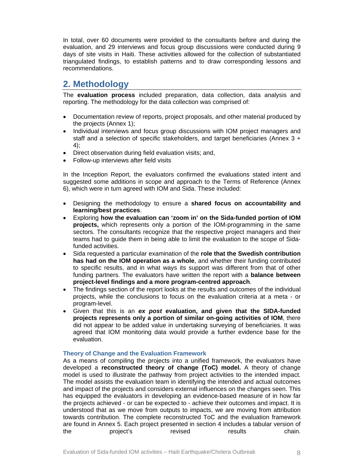In total, over 60 documents were provided to the consultants before and during the evaluation, and 29 interviews and focus group discussions were conducted during 9 days of site visits in Haiti. These activities allowed for the collection of substantiated triangulated findings, to establish patterns and to draw corresponding lessons and recommendations.

# **2. Methodology**

The **evaluation process** included preparation, data collection, data analysis and reporting. The methodology for the data collection was comprised of:

- Documentation review of reports, project proposals, and other material produced by the projects (Annex 1);
- Individual interviews and focus group discussions with IOM project managers and staff and a selection of specific stakeholders, and target beneficiaries (Annex 3 + 4);
- Direct observation during field evaluation visits; and,
- Follow-up interviews after field visits

In the Inception Report, the evaluators confirmed the evaluations stated intent and suggested some additions in scope and approach to the Terms of Reference (Annex 6), which were in turn agreed with IOM and Sida. These included:

- Designing the methodology to ensure a **shared focus on accountability and learning/best practices**.
- Exploring **how the evaluation can 'zoom in' on the Sida-funded portion of IOM projects,** which represents only a portion of the IOM-programming in the same sectors. The consultants recognize that the respective project managers and their teams had to guide them in being able to limit the evaluation to the scope of Sidafunded activities.
- Sida requested a particular examination of the **role that the Swedish contribution has had on the IOM operation as a whole**, and whether their funding contributed to specific results, and in what ways its support was different from that of other funding partners. The evaluators have written the report with a **balance between project-level findings and a more program-centred approach**.
- The findings section of the report looks at the results and outcomes of the individual projects, while the conclusions to focus on the evaluation criteria at a meta - or program-level.
- Given that this is an *ex post* **evaluation, and given that the SIDA-funded projects represents only a portion of similar on-going activities of IOM**, there did not appear to be added value in undertaking surveying of beneficiaries. It was agreed that IOM monitoring data would provide a further evidence base for the evaluation.

# **Theory of Change and the Evaluation Framework**

As a means of compiling the projects into a unified framework, the evaluators have developed a **reconstructed theory of change (ToC) model.** A theory of change model is used to illustrate the pathway from project activities to the intended impact. The model assists the evaluation team in identifying the intended and actual outcomes and impact of the projects and considers external influences on the changes seen. This has equipped the evaluators in developing an evidence-based measure of in how far the projects achieved - or can be expected to - achieve their outcomes and impact. It is understood that as we move from outputs to impacts, we are moving from attribution towards contribution. The complete reconstructed ToC and the evaluation framework are found in Annex 5. Each project presented in section 4 includes a tabular version of the project's revised results chain.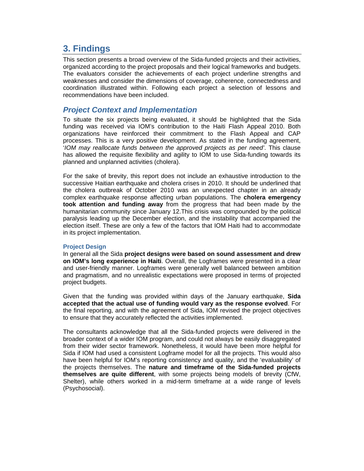# **3. Findings**

This section presents a broad overview of the Sida-funded projects and their activities, organized according to the project proposals and their logical frameworks and budgets. The evaluators consider the achievements of each project underline strengths and weaknesses and consider the dimensions of coverage, coherence, connectedness and coordination illustrated within. Following each project a selection of lessons and recommendations have been included.

# *Project Context and Implementation*

To situate the six projects being evaluated, it should be highlighted that the Sida funding was received via IOM's contribution to the Haiti Flash Appeal 2010. Both organizations have reinforced their commitment to the Flash Appeal and CAP processes. This is a very positive development. As stated in the funding agreement, '*IOM may reallocate funds between the approved projects as per need'*. This clause has allowed the requisite flexibility and agility to IOM to use Sida-funding towards its planned and unplanned activities (cholera).

For the sake of brevity, this report does not include an exhaustive introduction to the successive Haitian earthquake and cholera crises in 2010. It should be underlined that the cholera outbreak of October 2010 was an unexpected chapter in an already complex earthquake response affecting urban populations. The **cholera emergency took attention and funding away** from the progress that had been made by the humanitarian community since January 12.This crisis was compounded by the political paralysis leading up the December election, and the instability that accompanied the election itself. These are only a few of the factors that IOM Haiti had to accommodate in its project implementation.

# **Project Design**

In general all the Sida **project designs were based on sound assessment and drew on IOM's long experience in Haiti**. Overall, the Logframes were presented in a clear and user-friendly manner. Logframes were generally well balanced between ambition and pragmatism, and no unrealistic expectations were proposed in terms of projected project budgets.

Given that the funding was provided within days of the January earthquake, **Sida accepted that the actual use of funding would vary as the response evolved**. For the final reporting, and with the agreement of Sida, IOM revised the project objectives to ensure that they accurately reflected the activities implemented.

The consultants acknowledge that all the Sida-funded projects were delivered in the broader context of a wider IOM program, and could not always be easily disaggregated from their wider sector framework. Nonetheless, it would have been more helpful for Sida if IOM had used a consistent Logframe model for all the projects. This would also have been helpful for IOM's reporting consistency and quality, and the 'evaluability' of the projects themselves. The **nature and timeframe of the Sida-funded projects themselves are quite different**, with some projects being models of brevity (CfW, Shelter), while others worked in a mid-term timeframe at a wide range of levels (Psychosocial).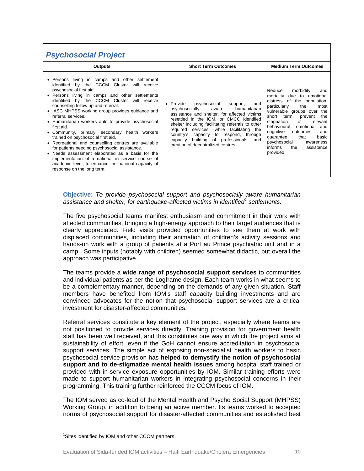# *Peychosocial Project*

| I SYCHUSUCKI I IUJUCI                                                                                                                                                                                                                                                                                                                                                                                                                                                                                                                                                                                                                                                                                                                                                                                              |                                                                                                                                                                                                                                                                                                                                                                                                                  |                                                                                                                                                                                                                                                                                                                                                                                                       |
|--------------------------------------------------------------------------------------------------------------------------------------------------------------------------------------------------------------------------------------------------------------------------------------------------------------------------------------------------------------------------------------------------------------------------------------------------------------------------------------------------------------------------------------------------------------------------------------------------------------------------------------------------------------------------------------------------------------------------------------------------------------------------------------------------------------------|------------------------------------------------------------------------------------------------------------------------------------------------------------------------------------------------------------------------------------------------------------------------------------------------------------------------------------------------------------------------------------------------------------------|-------------------------------------------------------------------------------------------------------------------------------------------------------------------------------------------------------------------------------------------------------------------------------------------------------------------------------------------------------------------------------------------------------|
| <b>Outputs</b>                                                                                                                                                                                                                                                                                                                                                                                                                                                                                                                                                                                                                                                                                                                                                                                                     | <b>Short Term Outcomes</b>                                                                                                                                                                                                                                                                                                                                                                                       | <b>Medium Term Outcomes</b>                                                                                                                                                                                                                                                                                                                                                                           |
| • Persons living in camps and other settlement<br>by the CCCM Cluster will receive<br>identified<br>psychosocial first aid.<br>• Persons living in camps and other settlements<br>identified by the CCCM Cluster will receive<br>counselling follow up and referral.<br>• IASC MHPSS working group provides guidance and<br>referral services.<br>• Humanitarian workers able to provide psychosocial<br>first aid.<br>• Community, primary, secondary health workers<br>trained on psychosocial first aid.<br>• Recreational and counselling centres are available<br>for patients needing psychosocial assistance.<br>• Needs assessment elaborated as a basis for the<br>implementation of a national in service course of<br>academic level, to enhance the national capacity of<br>response on the long term. | psychosocial<br>• Provide<br>support,<br>and<br>psychosocially<br>humanitarian<br>aware<br>assistance and shelter, for affected victims<br>resettled in the IOM, or CMCC identified<br>shelter including facilitating referrals to other<br>required services, while facilitating the<br>country's capacity to respond, through<br>capacity building of professionals, and<br>creation of decentralized centres. | Reduce<br>morbidity<br>and<br>mortality<br>due to emotional<br>distress of the population,<br>the<br>particularly<br>most<br>vulnerable groups over the<br>short term,<br>prevent<br>the<br>stagnation<br>of<br>relevant<br>behavioural,<br>emotional<br>and<br>cognitive<br>outcomes,<br>and<br>quarantee<br>that<br>basic<br>psychosocial<br>awareness<br>informs<br>assistance<br>the<br>provided. |

# **Objective:** *To provide psychosocial support and psychosocially aware humanitarian assistance and shelter, for earthquake-affected victims in identified<sup>1</sup> settlements.*

The five psychosocial teams manifest enthusiasm and commitment in their work with affected communities, bringing a high-energy approach to their target audiences that is clearly appreciated. Field visits provided opportunities to see them at work with displaced communities, including their animation of children's activity sessions and hands-on work with a group of patients at a Port au Prince psychiatric unit and in a camp. Some inputs (notably with children) seemed somewhat didactic, but overall the approach was participative.

The teams provide a **wide range of psychosocial support services** to communities and individual patients as per the Logframe design. Each team works in what seems to be a complementary manner, depending on the demands of any given situation. Staff members have benefited from IOM's staff capacity building investments and are convinced advocates for the notion that psychosocial support services are a critical investment for disaster-affected communities.

Referral services constitute a key element of the project, especially where teams are not positioned to provide services directly. Training provision for government health staff has been well received, and this constitutes one way in which the project aims at sustainability of effort, even if the GoH cannot ensure accreditation in psychosocial support services. The simple act of exposing non-specialist health workers to basic psychosocial service provision has **helped to demystify the notion of psychosocial support and to de-stigmatize mental health issues** among hospital staff trained or provided with in-service exposure opportunities by IOM. Similar training efforts were made to support humanitarian workers in integrating psychosocial concerns in their programming. This training further reinforced the CCCM focus of IOM.

The IOM served as co-lead of the Mental Health and Psycho Social Support (MHPSS) Working Group, in addition to being an active member. Its teams worked to accepted norms of psychosocial support for disaster-affected communities and established best

 $\overline{a}$ 

<sup>&</sup>lt;sup>1</sup>Sites identified by IOM and other CCCM partners.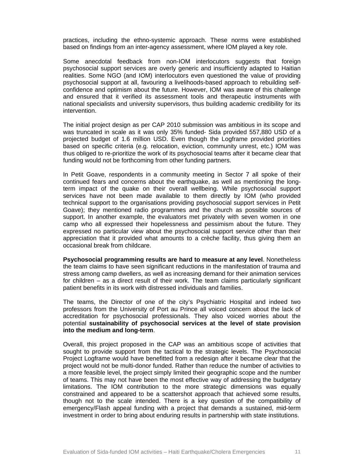practices, including the ethno-systemic approach. These norms were established based on findings from an inter-agency assessment, where IOM played a key role.

Some anecdotal feedback from non-IOM interlocutors suggests that foreign psychosocial support services are overly generic and insufficiently adapted to Haitian realities. Some NGO (and IOM) interlocutors even questioned the value of providing psychosocial support at all, favouring a livelihoods-based approach to rebuilding selfconfidence and optimism about the future. However, IOM was aware of this challenge and ensured that it verified its assessment tools and therapeutic instruments with national specialists and university supervisors, thus building academic credibility for its intervention.

The initial project design as per CAP 2010 submission was ambitious in its scope and was truncated in scale as it was only 35% funded- Sida provided 557,880 USD of a projected budget of 1.6 million USD. Even though the Logframe provided priorities based on specific criteria (e.g. relocation, eviction, community unrest, etc.) IOM was thus obliged to re-prioritize the work of its psychosocial teams after it became clear that funding would not be forthcoming from other funding partners.

In Petit Goave, respondents in a community meeting in Sector 7 all spoke of their continued fears and concerns about the earthquake, as well as mentioning the longterm impact of the quake on their overall wellbeing. While psychosocial support services have not been made available to them directly by IOM (who provided technical support to the organisations providing psychosocial support services in Petit Goave); they mentioned radio programmes and the church as possible sources of support. In another example, the evaluators met privately with seven women in one camp who all expressed their hopelessness and pessimism about the future. They expressed no particular view about the psychosocial support service other than their appreciation that it provided what amounts to a crèche facility, thus giving them an occasional break from childcare.

**Psychosocial programming results are hard to measure at any level**. Nonetheless the team claims to have seen significant reductions in the manifestation of trauma and stress among camp dwellers, as well as increasing demand for their animation services for children – as a direct result of their work. The team claims particularly significant patient benefits in its work with distressed individuals and families.

The teams, the Director of one of the city's Psychiatric Hospital and indeed two professors from the University of Port au Prince all voiced concern about the lack of accreditation for psychosocial professionals. They also voiced worries about the potential **sustainability of psychosocial services at the level of state provision into the medium and long-term**.

Overall, this project proposed in the CAP was an ambitious scope of activities that sought to provide support from the tactical to the strategic levels. The Psychosocial Project Logframe would have benefitted from a redesign after it became clear that the project would not be multi-donor funded. Rather than reduce the number of activities to a more feasible level, the project simply limited their geographic scope and the number of teams. This may not have been the most effective way of addressing the budgetary limitations. The IOM contribution to the more strategic dimensions was equally constrained and appeared to be a scattershot approach that achieved some results, though not to the scale intended. There is a key question of the compatibility of emergency/Flash appeal funding with a project that demands a sustained, mid-term investment in order to bring about enduring results in partnership with state institutions.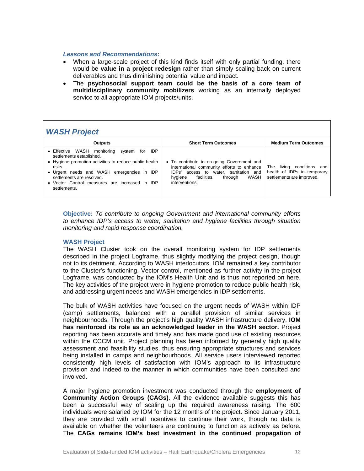#### *Lessons and Recommendations***:**

- When a large-scale project of this kind finds itself with only partial funding, there would be **value in a project redesign** rather than simply scaling back on current deliverables and thus diminishing potential value and impact.
- The **psychosocial support team could be the basis of a core team of multidisciplinary community mobilizers** working as an internally deployed service to all appropriate IOM projects/units.

# *WASH Project*

| <b>Outputs</b>                                                                                                                                                                                                                                                                                   | <b>Short Term Outcomes</b>                                                                                                                                                                                                 | <b>Medium Term Outcomes</b>                              |
|--------------------------------------------------------------------------------------------------------------------------------------------------------------------------------------------------------------------------------------------------------------------------------------------------|----------------------------------------------------------------------------------------------------------------------------------------------------------------------------------------------------------------------------|----------------------------------------------------------|
| • Effective WASH monitoring<br>IDP<br>for<br>system<br>settlements established.<br>• Hygiene promotion activities to reduce public health<br>risks.<br>• Urgent needs and WASH emergencies in IDP<br>settlements are resolved.<br>• Vector Control measures are increased in IDP<br>settlements. | • To contribute to on-going Government and<br>international community efforts to enhance The living conditions and<br>IDPs' access to water, sanitation and<br>facilities.<br>WASH<br>through<br>hygiene<br>interventions. | health of IDPs in temporary<br>settlements are improved. |

**Objective:** *To contribute to ongoing Government and international community efforts to enhance IDP's access to water, sanitation and hygiene facilities through situation monitoring and rapid response coordination.* 

# **WASH Project**

The WASH Cluster took on the overall monitoring system for IDP settlements described in the project Logframe, thus slightly modifying the project design, though not to its detriment. According to WASH interlocutors, IOM remained a key contributor to the Cluster's functioning. Vector control, mentioned as further activity in the project Logframe, was conducted by the IOM's Health Unit and is thus not reported on here. The key activities of the project were in hygiene promotion to reduce public health risk, and addressing urgent needs and WASH emergencies in IDP settlements.

The bulk of WASH activities have focused on the urgent needs of WASH within IDP (camp) settlements, balanced with a parallel provision of similar services in neighbourhoods. Through the project's high quality WASH infrastructure delivery, **IOM has reinforced its role as an acknowledged leader in the WASH sector.** Project reporting has been accurate and timely and has made good use of existing resources within the CCCM unit. Project planning has been informed by generally high quality assessment and feasibility studies, thus ensuring appropriate structures and services being installed in camps and neighbourhoods. All service users interviewed reported consistently high levels of satisfaction with IOM's approach to its infrastructure provision and indeed to the manner in which communities have been consulted and involved.

A major hygiene promotion investment was conducted through the **employment of Community Action Groups (CAGs)**. All the evidence available suggests this has been a successful way of scaling up the required awareness raising. The 600 individuals were salaried by IOM for the 12 months of the project. Since January 2011, they are provided with small incentives to continue their work, though no data is available on whether the volunteers are continuing to function as actively as before. The **CAGs remains IOM's best investment in the continued propagation of**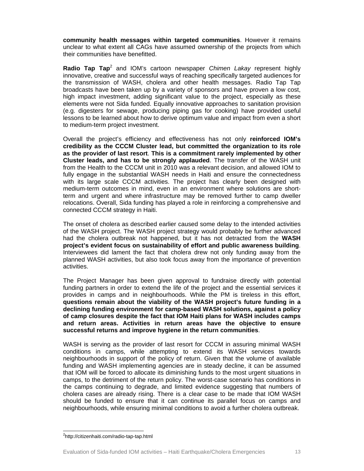**community health messages within targeted communities**. However it remains unclear to what extent all CAGs have assumed ownership of the projects from which their communities have benefitted.

Radio Tap Tap<sup>2</sup> and IOM's cartoon newspaper *Chimen Lakay* represent highly innovative, creative and successful ways of reaching specifically targeted audiences for the transmission of WASH, cholera and other health messages. Radio Tap Tap broadcasts have been taken up by a variety of sponsors and have proven a low cost, high impact investment, adding significant value to the project, especially as these elements were not Sida funded. Equally innovative approaches to sanitation provision (e.g. digesters for sewage, producing piping gas for cooking) have provided useful lessons to be learned about how to derive optimum value and impact from even a short to medium-term project investment.

Overall the project's efficiency and effectiveness has not only **reinforced IOM's credibility as the CCCM Cluster lead, but committed the organization to its role as the provider of last resort**. **This is a commitment rarely implemented by other Cluster leads, and has to be strongly applauded**. The transfer of the WASH unit from the Health to the CCCM unit in 2010 was a relevant decision, and allowed IOM to fully engage in the substantial WASH needs in Haiti and ensure the connectedness with its large scale CCCM activities. The project has clearly been designed with medium-term outcomes in mind, even in an environment where solutions are shortterm and urgent and where infrastructure may be removed further to camp dweller relocations. Overall, Sida funding has played a role in reinforcing a comprehensive and connected CCCM strategy in Haiti.

The onset of cholera as described earlier caused some delay to the intended activities of the WASH project. The WASH project strategy would probably be further advanced had the cholera outbreak not happened, but it has not detracted from the **WASH project's evident focus on sustainability of effort and public awareness building**. Interviewees did lament the fact that cholera drew not only funding away from the planned WASH activities, but also took focus away from the importance of prevention activities.

The Project Manager has been given approval to fundraise directly with potential funding partners in order to extend the life of the project and the essential services it provides in camps and in neighbourhoods. While the PM is tireless in this effort, **questions remain about the viability of the WASH project's future funding in a declining funding environment for camp-based WASH solutions, against a policy of camp closures despite the fact that IOM Haiti plans for WASH includes camps and return areas. Activities in return areas have the objective to ensure successful returns and improve hygiene in the return communities**.

WASH is serving as the provider of last resort for CCCM in assuring minimal WASH conditions in camps, while attempting to extend its WASH services towards neighbourhoods in support of the policy of return. Given that the volume of available funding and WASH implementing agencies are in steady decline, it can be assumed that IOM will be forced to allocate its diminishing funds to the most urgent situations in camps, to the detriment of the return policy. The worst-case scenario has conditions in the camps continuing to degrade, and limited evidence suggesting that numbers of cholera cases are already rising. There is a clear case to be made that IOM WASH should be funded to ensure that it can continue its parallel focus on camps and neighbourhoods, while ensuring minimal conditions to avoid a further cholera outbreak.

 $\overline{a}$ 

<sup>&</sup>lt;sup>2</sup>http://citizenhaiti.com/radio-tap-tap.html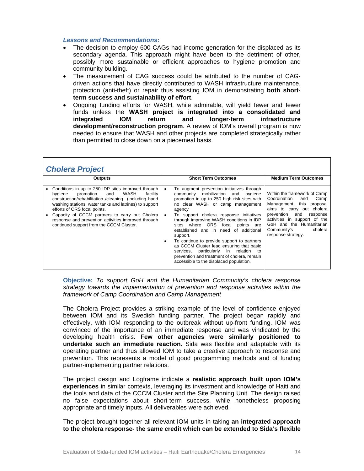#### *Lessons and Recommendations***:**

- The decision to employ 600 CAGs had income generation for the displaced as its secondary agenda. This approach might have been to the detriment of other, possibly more sustainable or efficient approaches to hygiene promotion and community building.
- The measurement of CAG success could be attributed to the number of CAGdriven actions that have directly contributed to WASH infrastructure maintenance, protection (anti-theft) or repair thus assisting IOM in demonstrating **both shortterm success and sustainability of effort**.
- Ongoing funding efforts for WASH, while admirable, will yield fewer and fewer funds unless the **WASH project is integrated into a consolidated and integrated IOM return and longer-term infrastructure development/reconstruction program**. A review of IOM's overall program is now needed to ensure that WASH and other projects are completed strategically rather than permitted to close down on a piecemeal basis.

# *Cholera Project*

| $\frac{1}{2}$                                                                                                                                                                                                                                                                                                                                                                                                  |                                                                                                                                                                                                                                                                                                                                                                                                                                                                                                                                                                                                         |                                                                                                                                                                                                                                                                       |
|----------------------------------------------------------------------------------------------------------------------------------------------------------------------------------------------------------------------------------------------------------------------------------------------------------------------------------------------------------------------------------------------------------------|---------------------------------------------------------------------------------------------------------------------------------------------------------------------------------------------------------------------------------------------------------------------------------------------------------------------------------------------------------------------------------------------------------------------------------------------------------------------------------------------------------------------------------------------------------------------------------------------------------|-----------------------------------------------------------------------------------------------------------------------------------------------------------------------------------------------------------------------------------------------------------------------|
| <b>Outputs</b>                                                                                                                                                                                                                                                                                                                                                                                                 | <b>Short Term Outcomes</b>                                                                                                                                                                                                                                                                                                                                                                                                                                                                                                                                                                              | <b>Medium Term Outcomes</b>                                                                                                                                                                                                                                           |
| Conditions in up to 250 IDP sites improved through<br>WASH<br>promotion<br>and<br>facility<br>hygiene<br>construction/rehabilitation / cleaning (including hand<br>washing stations, water tanks and latrines) to support<br>efforts of ORS focal points.<br>Capacity of CCCM partners to carry out Cholera<br>response and prevention activities improved through<br>continued support from the CCCM Cluster. | To augment prevention initiatives through<br>community mobilization<br>and hygiene<br>promotion in up to 250 high risk sites with<br>no clear WASH or camp management<br>agency<br>To support cholera response initiatives<br>through improving WASH conditions in IDP<br>sites where ORS<br>focal points are<br>established and in need of additional<br>support.<br>To continue to provide support to partners<br>٠<br>as CCCM Cluster lead ensuring that basic<br>particularly in relation to<br>services.<br>prevention and treatment of cholera, remain<br>accessible to the displaced population. | Within the framework of Camp<br>Coordination<br>Camp<br>and<br>Management, this<br>proposal<br>aims to carry out cholera<br>prevention<br>and<br>response<br>activities in support of the<br>GoH and the Humanitarian<br>cholera<br>Community's<br>response strategy. |

# **Objective:** *To support GoH and the Humanitarian Community's cholera response strategy towards the implementation of prevention and response activities within the framework of Camp Coordination and Camp Management*

The Cholera Project provides a striking example of the level of confidence enjoyed between IOM and its Swedish funding partner. The project began rapidly and effectively, with IOM responding to the outbreak without up-front funding. IOM was convinced of the importance of an immediate response and was vindicated by the developing health crisis. **Few other agencies were similarly positioned to undertake such an immediate reaction.** Sida was flexible and adaptable with its operating partner and thus allowed IOM to take a creative approach to response and prevention. This represents a model of good programming methods and of funding partner-implementing partner relations.

The project design and Logframe indicate a **realistic approach built upon IOM's experiences** in similar contexts, leveraging its investment and knowledge of Haiti and the tools and data of the CCCM Cluster and the Site Planning Unit. The design raised no false expectations about short-term success, while nonetheless proposing appropriate and timely inputs. All deliverables were achieved.

The project brought together all relevant IOM units in taking **an integrated approach to the cholera response- the same credit which can be extended to Sida's flexible**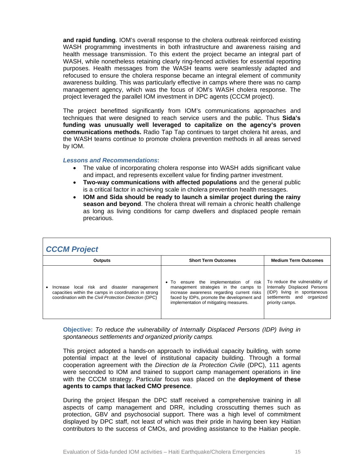**and rapid funding**. IOM's overall response to the cholera outbreak reinforced existing WASH programming investments in both infrastructure and awareness raising and health message transmission. To this extent the project became an integral part of WASH, while nonetheless retaining clearly ring-fenced activities for essential reporting purposes. Health messages from the WASH teams were seamlessly adapted and refocused to ensure the cholera response became an integral element of community awareness building. This was particularly effective in camps where there was no camp management agency, which was the focus of IOM's WASH cholera response. The project leveraged the parallel IOM investment in DPC agents (CCCM project).

The project benefitted significantly from IOM's communications approaches and techniques that were designed to reach service users and the public. Thus **Sida's funding was unusually well leveraged to capitalize on the agency's proven communications methods.** Radio Tap Tap continues to target cholera hit areas, and the WASH teams continue to promote cholera prevention methods in all areas served by IOM.

# *Lessons and Recommendations***:**

- The value of incorporating cholera response into WASH adds significant value and impact, and represents excellent value for finding partner investment.
- **Two-way communications with affected populations** and the general public is a critical factor in achieving scale in cholera prevention health messages.
- **IOM and Sida should be ready to launch a similar project during the rainy season and beyond**. The cholera threat will remain a chronic health challenge as long as living conditions for camp dwellers and displaced people remain precarious.

| <b>CCCM Project</b>                                                                                                                                               |                                                                                                                                                                                                                       |                                                                                                                                                  |
|-------------------------------------------------------------------------------------------------------------------------------------------------------------------|-----------------------------------------------------------------------------------------------------------------------------------------------------------------------------------------------------------------------|--------------------------------------------------------------------------------------------------------------------------------------------------|
| <b>Outputs</b>                                                                                                                                                    | <b>Short Term Outcomes</b>                                                                                                                                                                                            | <b>Medium Term Outcomes</b>                                                                                                                      |
| local risk and disaster management<br>Increase<br>capacities within the camps in coordination in strong<br>coordination with the Civil Protection Direction (DPC) | • To ensure the implementation of risk<br>management strategies in the camps to<br>increase awareness regarding current risks<br>faced by IDPs, promote the development and<br>implementation of mitigating measures. | To reduce the vulnerability of<br>Internally Displaced Persons<br>(IDP) living in spontaneous<br>settlements and<br>organized<br>priority camps. |

**Objective:** *To reduce the vulnerability of Internally Displaced Persons (IDP) living in spontaneous settlements and organized priority camps.*

This project adopted a hands-on approach to individual capacity building, with some potential impact at the level of institutional capacity building. Through a formal cooperation agreement with the *Direction de la Protection Civile* (DPC), 111 agents were seconded to IOM and trained to support camp management operations in line with the CCCM strategy. Particular focus was placed on the **deployment of these agents to camps that lacked CMO presence**.

During the project lifespan the DPC staff received a comprehensive training in all aspects of camp management and DRR, including crosscutting themes such as protection, GBV and psychosocial support. There was a high level of commitment displayed by DPC staff, not least of which was their pride in having been key Haitian contributors to the success of CMOs, and providing assistance to the Haitian people.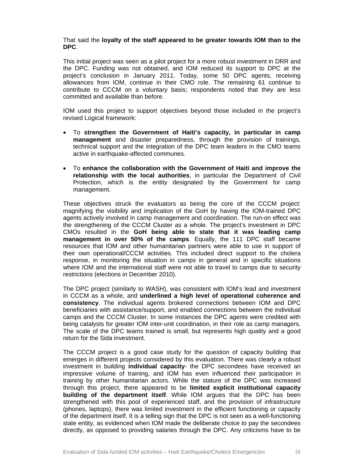#### That said the **loyalty of the staff appeared to be greater towards IOM than to the DPC**.

This initial project was seen as a pilot project for a more robust investment in DRR and the DPC. Funding was not obtained, and IOM reduced its support to DPC at the project's conclusion in January 2011. Today, some 50 DPC agents, receiving allowances from IOM, continue in their CMO role. The remaining 61 continue to contribute to CCCM on a voluntary basis; respondents noted that they are less committed and available than before.

IOM used this project to support objectives beyond those included in the project's revised Logical framework:

- To **strengthen the Government of Haiti's capacity, in particular in camp management** and disaster preparedness, through the provision of trainings, technical support and the integration of the DPC team leaders in the CMO teams active in earthquake-affected communes.
- To **enhance the collaboration with the Government of Haiti and improve the relationship with the local authorities**, in particular the Department of Civil Protection, which is the entity designated by the Government for camp management.

These objectives struck the evaluators as being the core of the CCCM project: magnifying the visibility and implication of the GoH by having the IOM-trained DPC agents actively involved in camp management and coordination. The run-on effect was the strengthening of the CCCM Cluster as a whole. The project's investment in DPC CMOs resulted in the **GoH being able to state that it was leading camp management in over 50% of the camps**. Equally, the 111 DPC staff became resources that IOM and other humanitarian partners were able to use in support of their own operational/CCCM activities. This included direct support to the cholera response, in monitoring the situation in camps in general and in specific situations where IOM and the international staff were not able to travel to camps due to security restrictions (elections in December 2010).

The DPC project (similarly to WASH), was consistent with IOM's lead and investment in CCCM as a whole, and **underlined a high level of operational coherence and consistency**. The individual agents brokered connections between IOM and DPC beneficiaries with assistance/support, and enabled connections between the individual camps and the CCCM Cluster. In some instances the DPC agents were credited with being catalysts for greater IOM inter-unit coordination, in their role as camp managers. The scale of the DPC teams trained is small, but represents high quality and a good return for the Sida investment.

The CCCM project is a good case study for the question of capacity building that emerges in different projects considered by this evaluation. There was clearly a robust investment in building **individual capacity**- the DPC secondees have received an impressive volume of training, and IOM has even influenced their participation in training by other humanitarian actors. While the stature of the DPC was increased through this project, there appeared to be **limited explicit institutional capacity building of the department itself**. While IOM argues that the DPC has been strengthened with this pool of experienced staff, and the provision of infrastructure (phones, laptops), there was limited investment in the efficient functioning or capacity of the department itself. It is a telling sign that the DPC is not seen as a well-functioning state entity, as evidenced when IOM made the deliberate choice to pay the secondees directly, as opposed to providing salaries through the DPC. Any criticisms have to be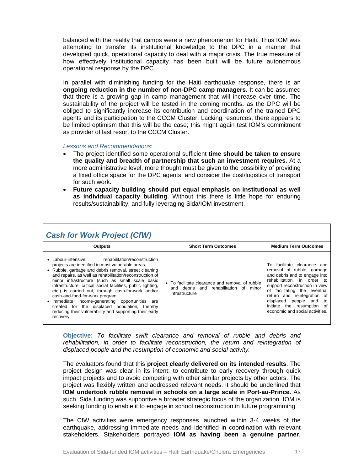balanced with the reality that camps were a new phenomenon for Haiti. Thus IOM was attempting to transfer its institutional knowledge to the DPC in a manner that developed quick, operational capacity to deal with a major crisis. The true measure of how effectively institutional capacity has been built will be future autonomous operational response by the DPC.

In parallel with diminishing funding for the Haiti earthquake response, there is an **ongoing reduction in the number of non-DPC camp managers**. It can be assumed that there is a growing gap in camp management that will increase over time. The sustainability of the project will be tested in the coming months, as the DPC will be obliged to significantly increase its contribution and coordination of the trained DPC agents and its participation to the CCCM Cluster. Lacking resources, there appears to be limited optimism that this will be the case; this might again test IOM's commitment as provider of last resort to the CCCM Cluster.

#### *Lessons and Recommendations*:

- The project identified some operational sufficient **time should be taken to ensure the quality and breadth of partnership that such an investment requires**. At a more administrative level, more thought must be given to the possibility of providing a fixed office space for the DPC agents, and consider the cost/logistics of transport for such work.
- **Future capacity building should put equal emphasis on institutional as well as individual capacity building**. Without this there is little hope for enduring results/sustainability, and fully leveraging Sida/IOM investment.

| <b>Cash for Work Project (CfW)</b>                                                                                                                                                                                                                                                                                                                                                                                                                                                                                                                                                                                    |                                                                                                             |                                                                                                                                                                                                                                                                                                                                       |  |
|-----------------------------------------------------------------------------------------------------------------------------------------------------------------------------------------------------------------------------------------------------------------------------------------------------------------------------------------------------------------------------------------------------------------------------------------------------------------------------------------------------------------------------------------------------------------------------------------------------------------------|-------------------------------------------------------------------------------------------------------------|---------------------------------------------------------------------------------------------------------------------------------------------------------------------------------------------------------------------------------------------------------------------------------------------------------------------------------------|--|
| <b>Outputs</b>                                                                                                                                                                                                                                                                                                                                                                                                                                                                                                                                                                                                        | <b>Short Term Outcomes</b>                                                                                  | <b>Medium Term Outcomes</b>                                                                                                                                                                                                                                                                                                           |  |
| • Labour-intensive rehabilitation/reconstruction<br>projects are identified in most vulnerable areas.<br>• Rubble, garbage and debris removal, street cleaning<br>and repairs, as well as rehabilitation/reconstruction of<br>minor infrastructure (such as small scale basic<br>infrastructure, critical social facilities, public lighting,<br>etc.) is carried out, through cash-for-work and/or<br>cash-and-food-for-work program;<br>• Immediate income-generating opportunities<br>are<br>created for the displaced population, thereby<br>reducing their vulnerability and supporting their early<br>recovery. | • To facilitate clearance and removal of rubble<br>and debris and rehabilitation of minor<br>infrastructure | facilitate clearance and<br>T∩<br>removal of rubble, garbage<br>and debris and to engage into<br>rehabilitation, in order to<br>support reconstruction in view<br>of facilitating the eventual<br>return and reintegration<br>of<br>displaced people<br>and<br>to<br>initiate the resumption<br>of<br>economic and social activities. |  |

**Objective:** *To facilitate swift clearance and removal of rubble and debris and rehabilitation, in order to facilitate reconstruction, the return and reintegration of displaced people and the resumption of economic and social activity.*

The evaluators found that this **project clearly delivered on its intended results**. The project design was clear in its intent: to contribute to early recovery through quick impact projects and to avoid competing with other similar projects by other actors. The project was flexibly written and addressed relevant needs. It should be underlined that **IOM undertook rubble removal in schools on a large scale in Port-au-Prince.** As such, Sida funding was supportive a broader strategic focus of the organization. IOM is seeking funding to enable it to engage in school reconstruction in future programming.

The CfW activities were emergency responses launched within 3-4 weeks of the earthquake, addressing immediate needs and identified in coordination with relevant stakeholders. Stakeholders portrayed **IOM as having been a genuine partner**,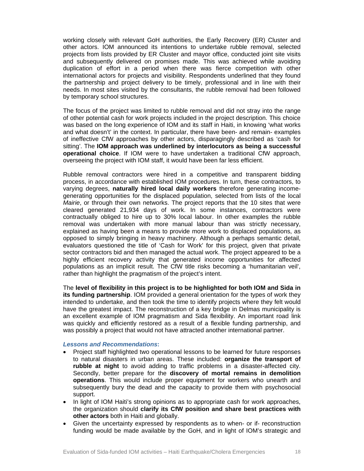working closely with relevant GoH authorities, the Early Recovery (ER) Cluster and other actors. IOM announced its intentions to undertake rubble removal, selected projects from lists provided by ER Cluster and mayor office, conducted joint site visits and subsequently delivered on promises made. This was achieved while avoiding duplication of effort in a period when there was fierce competition with other international actors for projects and visibility. Respondents underlined that they found the partnership and project delivery to be timely, professional and in line with their needs. In most sites visited by the consultants, the rubble removal had been followed by temporary school structures.

The focus of the project was limited to rubble removal and did not stray into the range of other potential cash for work projects included in the project description. This choice was based on the long experience of IOM and its staff in Haiti, in knowing 'what works and what doesn't' in the context. In particular, there have been- and remain- examples of ineffective CfW approaches by other actors, disparagingly described as 'cash for sitting'. The **IOM approach was underlined by interlocutors as being a successful operational choice**. If IOM were to have undertaken a traditional CfW approach, overseeing the project with IOM staff, it would have been far less efficient.

Rubble removal contractors were hired in a competitive and transparent bidding process, in accordance with established IOM procedures. In turn, these contractors, to varying degrees, **naturally hired local daily workers** therefore generating incomegenerating opportunities for the displaced population, selected from lists of the local *Mairie*, or through their own networks. The project reports that the 10 sites that were cleared generated 21,934 days of work. In some instances, contractors were contractually obliged to hire up to 30% local labour. In other examples the rubble removal was undertaken with more manual labour than was strictly necessary, explained as having been a means to provide more work to displaced populations, as opposed to simply bringing in heavy machinery. Although a perhaps semantic detail, evaluators questioned the title of 'Cash for Work' for this project, given that private sector contractors bid and then managed the actual work. The project appeared to be a highly efficient recovery activity that generated income opportunities for affected populations as an implicit result. The CfW title risks becoming a 'humanitarian veil', rather than highlight the pragmatism of the project's intent.

The **level of flexibility in this project is to be highlighted for both IOM and Sida in its funding partnership**. IOM provided a general orientation for the types of work they intended to undertake, and then took the time to identify projects where they felt would have the greatest impact. The reconstruction of a key bridge in Delmas municipality is an excellent example of IOM pragmatism and Sida flexibility. An important road link was quickly and efficiently restored as a result of a flexible funding partnership, and was possibly a project that would not have attracted another international partner.

#### *Lessons and Recommendations***:**

- Project staff highlighted two operational lessons to be learned for future responses to natural disasters in urban areas. These included: **organize the transport of rubble at night** to avoid adding to traffic problems in a disaster-affected city. Secondly, better prepare for the **discovery of mortal remains in demolition operations**. This would include proper equipment for workers who unearth and subsequently bury the dead and the capacity to provide them with psychosocial support.
- In light of IOM Haiti's strong opinions as to appropriate cash for work approaches, the organization should **clarify its CfW position and share best practices with other actors** both in Haiti and globally.
- Given the uncertainty expressed by respondents as to when- or if- reconstruction funding would be made available by the GoH, and in light of IOM's strategic and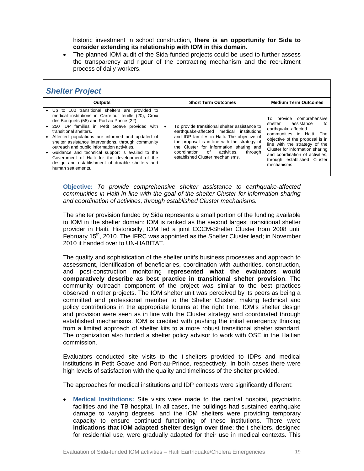historic investment in school construction, **there is an opportunity for Sida to consider extending its relationship with IOM in this domain.**

• The planned IOM audit of the Sida-funded projects could be used to further assess the transparency and rigour of the contracting mechanism and the recruitment process of daily workers.

| <b>Shelter Project</b> |  |
|------------------------|--|
|                        |  |

| <b>Outputs</b>                                                                                                                                                                                                                                                                                                                                                                                                                                                                                                                                                                  | <b>Short Term Outcomes</b>                                                                                                                                                                                                                                                                                               | <b>Medium Term Outcomes</b>                                                                                                                                                                                                                                                                         |
|---------------------------------------------------------------------------------------------------------------------------------------------------------------------------------------------------------------------------------------------------------------------------------------------------------------------------------------------------------------------------------------------------------------------------------------------------------------------------------------------------------------------------------------------------------------------------------|--------------------------------------------------------------------------------------------------------------------------------------------------------------------------------------------------------------------------------------------------------------------------------------------------------------------------|-----------------------------------------------------------------------------------------------------------------------------------------------------------------------------------------------------------------------------------------------------------------------------------------------------|
| Up to 100 transitional shelters are provided to<br>medical institutions in Carrefour feuille (20), Croix<br>des Bouquets (58) and Port au Prince (22).<br>• 250 IDP families in Petit Goave provided with<br>transitional shelters.<br>• Affected populations are informed and updated of<br>shelter assistance interventions, through community<br>outreach and public information activities.<br>Guidance and technical support is availed to the<br>Government of Haiti for the development of the<br>design and establishment of durable shelters and<br>human settlements. | To provide transitional shelter assistance to<br>٠<br>earthquake-affected medical institutions<br>and IDP families in Haiti. The objective of<br>the proposal is in line with the strategy of<br>the Cluster for information sharing and<br>activities.<br>coordination of<br>through<br>established Cluster mechanisms. | To provide comprehensive<br>assistance<br>shelter<br>to<br>earthquake-affected<br>communities in Haiti. The<br>objective of the proposal is in<br>line with the strategy of the<br>Cluster for information sharing<br>and coordination of activities,<br>through established Cluster<br>mechanisms. |

**Objective:** *To provide comprehensive shelter assistance to earthquake-affected communities in Haiti in line with the goal of the shelter Cluster for information sharing and coordination of activities, through established Cluster mechanisms.*

The shelter provision funded by Sida represents a small portion of the funding available to IOM in the shelter domain: IOM is ranked as the second largest transitional shelter provider in Haiti. Historically, IOM led a joint CCCM-Shelter Cluster from 2008 until February  $15<sup>th</sup>$ , 2010. The IFRC was appointed as the Shelter Cluster lead; in November 2010 it handed over to UN-HABITAT.

The quality and sophistication of the shelter unit's business processes and approach to assessment, identification of beneficiaries, coordination with authorities, construction, and post-construction monitoring **represented what the evaluators would comparatively describe as best practice in transitional shelter provision**. The community outreach component of the project was similar to the best practices observed in other projects. The IOM shelter unit was perceived by its peers as being a committed and professional member to the Shelter Cluster, making technical and policy contributions in the appropriate forums at the right time. IOM's shelter design and provision were seen as in line with the Cluster strategy and coordinated through established mechanisms. IOM is credited with pushing the initial emergency thinking from a limited approach of shelter kits to a more robust transitional shelter standard. The organization also funded a shelter policy advisor to work with OSE in the Haitian commission.

Evaluators conducted site visits to the t-shelters provided to IDPs and medical institutions in Petit Goave and Port-au-Prince, respectively. In both cases there were high levels of satisfaction with the quality and timeliness of the shelter provided.

The approaches for medical institutions and IDP contexts were significantly different:

• **Medical Institutions:** Site visits were made to the central hospital, psychiatric facilities and the TB hospital. In all cases, the buildings had sustained earthquake damage to varying degrees, and the IOM shelters were providing temporary capacity to ensure continued functioning of these institutions. There were **indications that IOM adapted shelter design over time**; the t-shelters, designed for residential use, were gradually adapted for their use in medical contexts. This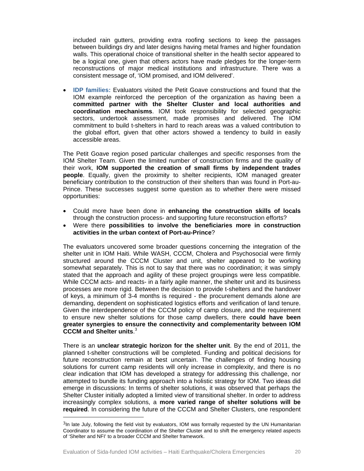included rain gutters, providing extra roofing sections to keep the passages between buildings dry and later designs having metal frames and higher foundation walls. This operational choice of transitional shelter in the health sector appeared to be a logical one, given that others actors have made pledges for the longer-term reconstructions of major medical institutions and infrastructure. There was a consistent message of, 'IOM promised, and IOM delivered'.

• **IDP families:** Evaluators visited the Petit Goave constructions and found that the IOM example reinforced the perception of the organization as having been a **committed partner with the Shelter Cluster and local authorities and coordination mechanisms**. IOM took responsibility for selected geographic sectors, undertook assessment, made promises and delivered. The IOM commitment to build t-shelters in hard to reach areas was a valued contribution to the global effort, given that other actors showed a tendency to build in easily accessible areas.

The Petit Goave region posed particular challenges and specific responses from the IOM Shelter Team. Given the limited number of construction firms and the quality of their work, **IOM supported the creation of small firms by independent trades people**. Equally, given the proximity to shelter recipients, IOM managed greater beneficiary contribution to the construction of their shelters than was found in Port-au-Prince. These successes suggest some question as to whether there were missed opportunities:

- Could more have been done in **enhancing the construction skills of locals** through the construction process- and supporting future reconstruction efforts?
- Were there **possibilities to involve the beneficiaries more in construction activities in the urban context of Port-au-Prince**?

The evaluators uncovered some broader questions concerning the integration of the shelter unit in IOM Haiti. While WASH, CCCM, Cholera and Psychosocial were firmly structured around the CCCM Cluster and unit, shelter appeared to be working somewhat separately. This is not to say that there was no coordination; it was simply stated that the approach and agility of these project groupings were less compatible. While CCCM acts- and reacts- in a fairly agile manner, the shelter unit and its business processes are more rigid. Between the decision to provide t-shelters and the handover of keys, a minimum of 3-4 months is required - the procurement demands alone are demanding, dependent on sophisticated logistics efforts and verification of land tenure. Given the interdependence of the CCCM policy of camp closure, and the requirement to ensure new shelter solutions for those camp dwellers, there **could have been greater synergies to ensure the connectivity and complementarity between IOM CCCM and Shelter units**. 3

There is an **unclear strategic horizon for the shelter unit**. By the end of 2011, the planned t-shelter constructions will be completed. Funding and political decisions for future reconstruction remain at best uncertain. The challenges of finding housing solutions for current camp residents will only increase in complexity, and there is no clear indication that IOM has developed a strategy for addressing this challenge, nor attempted to bundle its funding approach into a holistic strategy for IOM. Two ideas did emerge in discussions: In terms of shelter solutions, it was observed that perhaps the Shelter Cluster initially adopted a limited view of transitional shelter. In order to address increasingly complex solutions, a **more varied range of shelter solutions will be required**. In considering the future of the CCCM and Shelter Clusters, one respondent

 $\overline{a}$ 

 $3$ In late July, following the field visit by evaluators, IOM was formally requested by the UN Humanitarian Coordinator to assume the coordination of the Shelter Cluster and to shift the emergency related aspects of 'Shelter and NFI' to a broader CCCM and Shelter framework.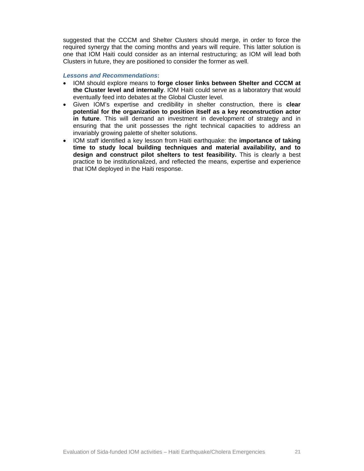suggested that the CCCM and Shelter Clusters should merge, in order to force the required synergy that the coming months and years will require. This latter solution is one that IOM Haiti could consider as an internal restructuring; as IOM will lead both Clusters in future, they are positioned to consider the former as well.

# *Lessons and Recommendations***:**

- IOM should explore means to **forge closer links between Shelter and CCCM at the Cluster level and internally**. IOM Haiti could serve as a laboratory that would eventually feed into debates at the Global Cluster level.
- Given IOM's expertise and credibility in shelter construction, there is **clear potential for the organization to position itself as a key reconstruction actor in future**. This will demand an investment in development of strategy and in ensuring that the unit possesses the right technical capacities to address an invariably growing palette of shelter solutions.
- IOM staff identified a key lesson from Haiti earthquake: the **importance of taking time to study local building techniques and material availability, and to design and construct pilot shelters to test feasibility.** This is clearly a best practice to be institutionalized, and reflected the means, expertise and experience that IOM deployed in the Haiti response.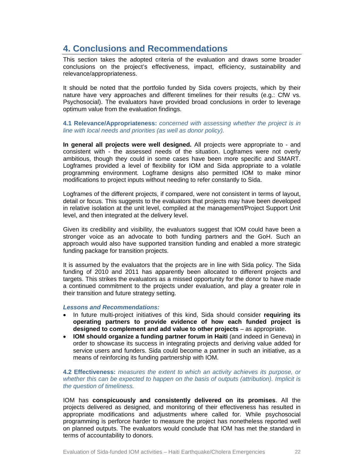# **4. Conclusions and Recommendations**

This section takes the adopted criteria of the evaluation and draws some broader conclusions on the project's effectiveness, impact, efficiency, sustainability and relevance/appropriateness.

It should be noted that the portfolio funded by Sida covers projects, which by their nature have very approaches and different timelines for their results (e.g.: CfW vs. Psychosocial). The evaluators have provided broad conclusions in order to leverage optimum value from the evaluation findings.

# **4.1 Relevance/Appropriateness:** *concerned with assessing whether the project is in line with local needs and priorities (as well as donor policy).*

**In general all projects were well designed.** All projects were appropriate to - and consistent with - the assessed needs of the situation. Logframes were not overly ambitious, though they could in some cases have been more specific and SMART. Logframes provided a level of flexibility for IOM and Sida appropriate to a volatile programming environment. Logframe designs also permitted IOM to make minor modifications to project inputs without needing to refer constantly to Sida.

Logframes of the different projects, if compared, were not consistent in terms of layout, detail or focus. This suggests to the evaluators that projects may have been developed in relative isolation at the unit level, compiled at the management/Project Support Unit level, and then integrated at the delivery level.

Given its credibility and visibility, the evaluators suggest that IOM could have been a stronger voice as an advocate to both funding partners and the GoH. Such an approach would also have supported transition funding and enabled a more strategic funding package for transition projects.

It is assumed by the evaluators that the projects are in line with Sida policy. The Sida funding of 2010 and 2011 has apparently been allocated to different projects and targets. This strikes the evaluators as a missed opportunity for the donor to have made a continued commitment to the projects under evaluation, and play a greater role in their transition and future strategy setting.

# *Lessons and Recommendations:*

- In future multi-project initiatives of this kind, Sida should consider **requiring its operating partners to provide evidence of how each funded project is designed to complement and add value to other projects** – as appropriate.
- **IOM should organize a funding partner forum in Haiti** (and indeed in Geneva) in order to showcase its success in integrating projects and deriving value added for service users and funders. Sida could become a partner in such an initiative, as a means of reinforcing its funding partnership with IOM.

# **4.2 Effectiveness:** *measures the extent to which an activity achieves its purpose, or whether this can be expected to happen on the basis of outputs (attribution). Implicit is the question of timeliness.*

IOM has **conspicuously and consistently delivered on its promises**. All the projects delivered as designed, and monitoring of their effectiveness has resulted in appropriate modifications and adjustments where called for. While psychosocial programming is perforce harder to measure the project has nonetheless reported well on planned outputs. The evaluators would conclude that IOM has met the standard in terms of accountability to donors.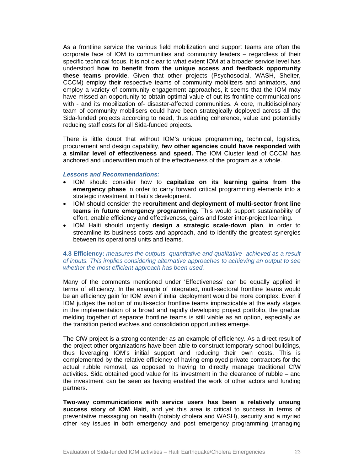As a frontline service the various field mobilization and support teams are often the corporate face of IOM to communities and community leaders – regardless of their specific technical focus. It is not clear to what extent IOM at a broader service level has understood **how to benefit from the unique access and feedback opportunity these teams provide**. Given that other projects (Psychosocial, WASH, Shelter, CCCM) employ their respective teams of community mobilizers and animators, and employ a variety of community engagement approaches, it seems that the IOM may have missed an opportunity to obtain optimal value of out its frontline communications with - and its mobilization of- disaster-affected communities. A core, multidisciplinary team of community mobilisers could have been strategically deployed across all the Sida-funded projects according to need, thus adding coherence, value and potentially reducing staff costs for all Sida-funded projects.

There is little doubt that without IOM's unique programming, technical, logistics, procurement and design capability, **few other agencies could have responded with a similar level of effectiveness and speed.** The IOM Cluster lead of CCCM has anchored and underwritten much of the effectiveness of the program as a whole.

#### *Lessons and Recommendations:*

- IOM should consider how to **capitalize on its learning gains from the emergency phase** in order to carry forward critical programming elements into a strategic investment in Haiti's development.
- IOM should consider the **recruitment and deployment of multi-sector front line teams in future emergency programming.** This would support sustainability of effort, enable efficiency and effectiveness, gains and foster inter-project learning.
- IOM Haiti should urgently **design a strategic scale-down plan**, in order to streamline its business costs and approach, and to identify the greatest synergies between its operational units and teams.

# **4.3 Efficiency:** *measures the outputs- quantitative and qualitative- achieved as a result of inputs. This implies considering alternative approaches to achieving an output to see whether the most efficient approach has been used.*

Many of the comments mentioned under 'Effectiveness' can be equally applied in terms of efficiency. In the example of integrated, multi-sectoral frontline teams would be an efficiency gain for IOM even if initial deployment would be more complex. Even if IOM judges the notion of multi-sector frontline teams impracticable at the early stages in the implementation of a broad and rapidly developing project portfolio, the gradual melding together of separate frontline teams is still viable as an option, especially as the transition period evolves and consolidation opportunities emerge.

The CfW project is a strong contender as an example of efficiency. As a direct result of the project other organizations have been able to construct temporary school buildings, thus leveraging IOM's initial support and reducing their own costs. This is complemented by the relative efficiency of having employed private contractors for the actual rubble removal, as opposed to having to directly manage traditional CfW activities. Sida obtained good value for its investment in the clearance of rubble – and the investment can be seen as having enabled the work of other actors and funding partners.

**Two-way communications with service users has been a relatively unsung success story of IOM Haiti**, and yet this area is critical to success in terms of preventative messaging on health (notably cholera and WASH), security and a myriad other key issues in both emergency and post emergency programming (managing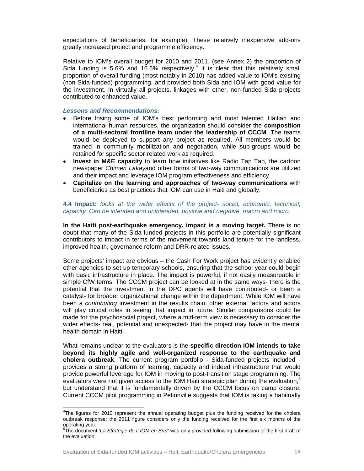expectations of beneficiaries, for example). These relatively inexpensive add-ons greatly increased project and programme efficiency.

Relative to IOM's overall budget for 2010 and 2011, (see Annex 2) the proportion of Sida funding is  $5.6\%$  and  $16.6\%$  respectively.<sup>4</sup> It is clear that this relatively small proportion of overall funding (most notably in 2010) has added value to IOM's existing (non Sida-funded) programming, and provided both Sida and IOM with good value for the investment. In virtually all projects, linkages with other, non-funded Sida projects contributed to enhanced value.

#### *Lessons and Recommendations:*

l

- Before losing some of IOM's best performing and most talented Haitian and international human resources, the organization should consider the **composition of a multi-sectoral frontline team under the leadership of CCCM**. The teams would be deployed to support any project as required. All members would be trained in community mobilization and negotiation, while sub-groups would be retained for specific sector-related work as required.
- **Invest in M&E capacity** to learn how initiatives like Radio Tap Tap, the cartoon newspaper *Chimen Lakay*and other forms of two-way communications are utilized and their impact and leverage IOM program effectiveness and efficiency.
- **Capitalize on the learning and approaches of two-way communications** with beneficiaries as best practices that IOM can use in Haiti and globally.

# **4.4 Impact:** *looks at the wider effects of the project- social, economic, technical, capacity. Can be intended and unintended, positive and negative, macro and micro.*

**In the Haiti post-earthquake emergency, impact is a moving target.** There is no doubt that many of the Sida-funded projects in this portfolio are potentially significant contributors to impact in terms of the movement towards land tenure for the landless, improved health, governance reform and DRR-related issues.

Some projects' impact are obvious – the Cash For Work project has evidently enabled other agencies to set up temporary schools, ensuring that the school year could begin with basic infrastructure in place. The impact is powerful, if not easily measureable in simple CfW terms. The CCCM project can be looked at in the same ways- there is the potential that the investment in the DPC agents will have contributed- or been a catalyst- for broader organizational change within the department. While IOM will have been a *contributing* investment in the results chain, other external factors and actors will play critical roles in seeing that impact in future. Similar comparisons could be made for the psychosocial project, where a mid-term view is necessary to consider the wider effects- real, potential and unexpected- that the project may have in the mental health domain in Haiti.

What remains unclear to the evaluators is the **specific direction IOM intends to take beyond its highly agile and well-organized response to the earthquake and cholera outbreak**. The current program portfolio - Sida-funded projects included provides a strong platform of learning, capacity and indeed infrastructure that would provide powerful leverage for IOM in moving to post-transition stage programming. The evaluators were not given access to the IOM Haiti strategic plan during the evaluation,<sup>5</sup> but understand that it is fundamentally driven by the CCCM focus on camp closure. Current CCCM pilot programming in Petionville suggests that IOM is taking a habitually

<sup>&</sup>lt;sup>4</sup>The figures for 2010 represent the annual operating budget plus the funding received for the cholera outbreak response; the 2011 figure considers only the funding received for the first six months of the operating year.<br><sup>5</sup>The desument

The document '*La Strategie de l' IOM en Bref'* was only provided following submission of the first draft of the evaluation.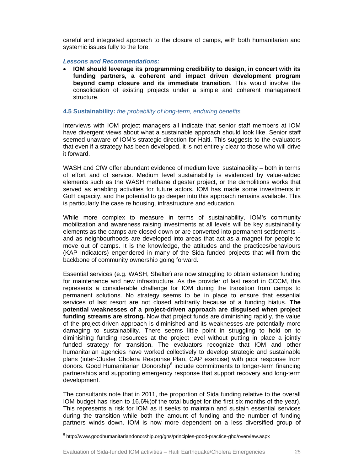careful and integrated approach to the closure of camps, with both humanitarian and systemic issues fully to the fore.

# *Lessons and Recommendations:*

• **IOM should leverage its programming credibility to design, in concert with its funding partners, a coherent and impact driven development program beyond camp closure and its immediate transition**. This would involve the consolidation of existing projects under a simple and coherent management structure.

# **4.5 Sustainability:** *the probability of long-term, enduring benefits.*

Interviews with IOM project managers all indicate that senior staff members at IOM have divergent views about what a sustainable approach should look like. Senior staff seemed unaware of IOM's strategic direction for Haiti. This suggests to the evaluators that even if a strategy has been developed, it is not entirely clear to those who will drive it forward.

WASH and CfW offer abundant evidence of medium level sustainability – both in terms of effort and of service. Medium level sustainability is evidenced by value-added elements such as the WASH methane digester project, or the demolitions works that served as enabling activities for future actors. IOM has made some investments in GoH capacity, and the potential to go deeper into this approach remains available. This is particularly the case re housing, infrastructure and education.

While more complex to measure in terms of sustainability, IOM's community mobilization and awareness raising investments at all levels will be key sustainability elements as the camps are closed down or are converted into permanent settlements – and as neighbourhoods are developed into areas that act as a magnet for people to move out of camps. It is the knowledge, the attitudes and the practices/behaviours (KAP Indicators) engendered in many of the Sida funded projects that will from the backbone of community ownership going forward.

Essential services (e.g. WASH, Shelter) are now struggling to obtain extension funding for maintenance and new infrastructure. As the provider of last resort in CCCM, this represents a considerable challenge for IOM during the transition from camps to permanent solutions. No strategy seems to be in place to ensure that essential services of last resort are not closed arbitrarily because of a funding hiatus. **The potential weaknesses of a project-driven approach are disguised when project funding streams are strong.** Now that project funds are diminishing rapidly, the value of the project-driven approach is diminished and its weaknesses are potentially more damaging to sustainability. There seems little point in struggling to hold on to diminishing funding resources at the project level without putting in place a jointly funded strategy for transition. The evaluators recognize that IOM and other humanitarian agencies have worked collectively to develop strategic and sustainable plans (inter-Cluster Cholera Response Plan, CAP exercise) with poor response from donors. Good Humanitarian Donorship<sup>6</sup> include commitments to longer-term financing partnerships and supporting emergency response that support recovery and long-term development.

The consultants note that in 2011, the proportion of Sida funding relative to the overall IOM budget has risen to 16.6%(of the total budget for the first six months of the year). This represents a risk for IOM as it seeks to maintain and sustain essential services during the transition while both the amount of funding and the number of funding partners winds down. IOM is now more dependent on a less diversified group of

 6 http://www.goodhumanitariandonorship.org/gns/principles-good-practice-ghd/overview.aspx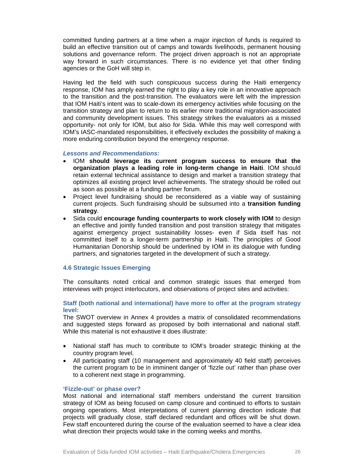committed funding partners at a time when a major injection of funds is required to build an effective transition out of camps and towards livelihoods, permanent housing solutions and governance reform. The project driven approach is not an appropriate way forward in such circumstances. There is no evidence yet that other finding agencies or the GoH will step in.

Having led the field with such conspicuous success during the Haiti emergency response, IOM has amply earned the right to play a key role in an innovative approach to the transition and the post-transition. The evaluators were left with the impression that IOM Haiti's intent was to scale-down its emergency activities while focusing on the transition strategy and plan to return to its earlier more traditional migration-associated and community development issues. This strategy strikes the evaluators as a missed opportunity- not only for IOM, but also for Sida. While this may well correspond with IOM's IASC-mandated responsibilities, it effectively excludes the possibility of making a more enduring contribution beyond the emergency response.

# *Lessons and Recommendations:*

- IOM **should leverage its current program success to ensure that the organization plays a leading role in long-term change in Haiti**. IOM should retain external technical assistance to design and market a transition strategy that optimizes all existing project level achievements. The strategy should be rolled out as soon as possible at a funding partner forum.
- Project level fundraising should be reconsidered as a viable way of sustaining current projects. Such fundraising should be subsumed into a **transition funding strategy**.
- Sida could **encourage funding counterparts to work closely with IOM** to design an effective and jointly funded transition and post transition strategy that mitigates against emergency project sustainability losses- even if Sida itself has not committed itself to a longer-term partnership in Haiti. The principles of Good Humanitarian Donorship should be underlined by IOM in its dialogue with funding partners, and signatories targeted in the development of such a strategy.

# **4.6 Strategic Issues Emerging**

The consultants noted critical and common strategic issues that emerged from interviews with project interlocutors, and observations of project sites and activities:

# **Staff (both national and international) have more to offer at the program strategy level:**

The SWOT overview in Annex 4 provides a matrix of consolidated recommendations and suggested steps forward as proposed by both international and national staff. While this material is not exhaustive it does illustrate:

- National staff has much to contribute to IOM's broader strategic thinking at the country program level.
- All participating staff (10 management and approximately 40 field staff) perceives the current program to be in imminent danger of 'fizzle out' rather than phase over to a coherent next stage in programming.

# **'Fizzle-out' or phase over?**

Most national and international staff members understand the current transition strategy of IOM as being focused on camp closure and continued to efforts to sustain ongoing operations. Most interpretations of current planning direction indicate that projects will gradually close, staff declared redundant and offices will be shut down. Few staff encountered during the course of the evaluation seemed to have a clear idea what direction their projects would take in the coming weeks and months.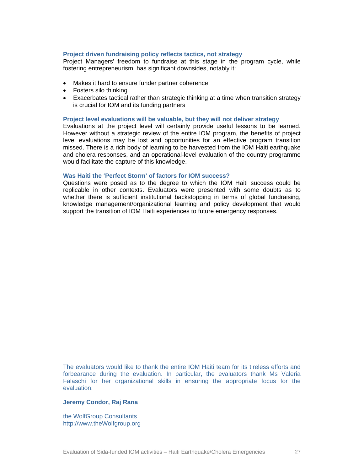# **Project driven fundraising policy reflects tactics, not strategy**

Project Managers' freedom to fundraise at this stage in the program cycle, while fostering entrepreneurism, has significant downsides, notably it:

- Makes it hard to ensure funder partner coherence
- Fosters silo thinking
- Exacerbates tactical rather than strategic thinking at a time when transition strategy is crucial for IOM and its funding partners

#### **Project level evaluations will be valuable, but they will not deliver strategy**

Evaluations at the project level will certainly provide useful lessons to be learned. However without a strategic review of the entire IOM program, the benefits of project level evaluations may be lost and opportunities for an effective program transition missed. There is a rich body of learning to be harvested from the IOM Haiti earthquake and cholera responses, and an operational-level evaluation of the country programme would facilitate the capture of this knowledge.

#### **Was Haiti the 'Perfect Storm' of factors for IOM success?**

Questions were posed as to the degree to which the IOM Haiti success could be replicable in other contexts. Evaluators were presented with some doubts as to whether there is sufficient institutional backstopping in terms of global fundraising, knowledge management/organizational learning and policy development that would support the transition of IOM Haiti experiences to future emergency responses.

The evaluators would like to thank the entire IOM Haiti team for its tireless efforts and forbearance during the evaluation. In particular, the evaluators thank Ms Valeria Falaschi for her organizational skills in ensuring the appropriate focus for the evaluation.

#### **Jeremy Condor, Raj Rana**

the WolfGroup Consultants http://www.theWolfgroup.org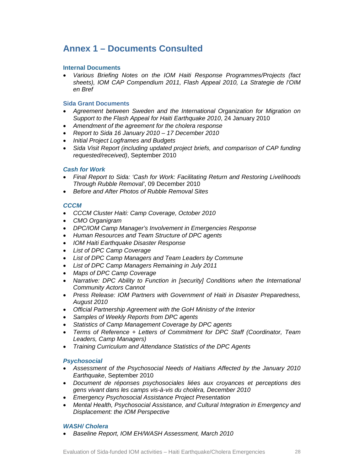# **Annex 1 – Documents Consulted**

# **Internal Documents**

• *Various Briefing Notes on the IOM Haiti Response Programmes/Projects (fact sheets), IOM CAP Compendium 2011, Flash Appeal 2010, La Strategie de l'OIM en Bref* 

# **Sida Grant Documents**

- *Agreement between Sweden and the International Organization for Migration on Support to the Flash Appeal for Haiti Earthquake 2010*, 24 January 2010
- *Amendment of the agreement for the cholera response*
- *Report to Sida 16 January 2010 17 December 2010*
- *Initial Project Logframes and Budgets*
- *Sida Visit Report (including updated project briefs, and comparison of CAP funding requested/received)*, September 2010

# *Cash for Work*

- *Final Report to Sida: 'Cash for Work: Facilitating Return and Restoring Livelihoods Through Rubble Removal'*, 09 December 2010
- *Before and After Photos of Rubble Removal Sites*

# *CCCM*

- *CCCM Cluster Haiti: Camp Coverage, October 2010*
- *CMO Organigram*
- *DPC/IOM Camp Manager's Involvement in Emergencies Response*
- *Human Resources and Team Structure of DPC agents*
- *IOM Haiti Earthquake Disaster Response*
- *List of DPC Camp Coverage*
- *List of DPC Camp Managers and Team Leaders by Commune*
- *List of DPC Camp Managers Remaining in July 2011*
- *Maps of DPC Camp Coverage*
- *Narrative: DPC Ability to Function in [security] Conditions when the International Community Actors Cannot*
- *Press Release: IOM Partners with Government of Haiti in Disaster Preparedness, August 2010*
- *Official Partnership Agreement with the GoH Ministry of the Interior*
- *Samples of Weekly Reports from DPC agents*
- *Statistics of Camp Management Coverage by DPC agents*
- *Terms of Reference + Letters of Commitment for DPC Staff (Coordinator, Team Leaders, Camp Managers)*
- *Training Curriculum and Attendance Statistics of the DPC Agents*

# *Psychosocial*

- *Assessment of the Psychosocial Needs of Haitians Affected by the January 2010 Earthquake*, September 2010
- *Document de réponses psychosociales liées aux croyances et perceptions des gens vivant dans les camps vis-à-vis du choléra, December 2010*
- *Emergency Psychosocial Assistance Project Presentation*
- *Mental Health, Psychosocial Assistance, and Cultural Integration in Emergency and Displacement: the IOM Perspective*

# *WASH/ Cholera*

• *Baseline Report, IOM EH/WASH Assessment, March 2010*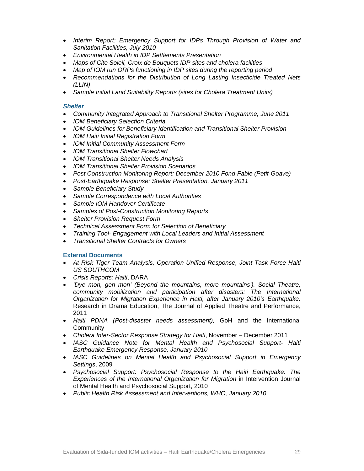- *Interim Report: Emergency Support for IDPs Through Provision of Water and Sanitation Facilities, July 2010*
- *Environmental Health in IDP Settlements Presentation*
- *Maps of Cite Soleil, Croix de Bouquets IDP sites and cholera facilities*
- *Map of IOM run ORPs functioning in IDP sites during the reporting period*
- *Recommendations for the Distribution of Long Lasting Insecticide Treated Nets (LLIN)*
- *Sample Initial Land Suitability Reports (sites for Cholera Treatment Units)*

# *Shelter*

- *Community Integrated Approach to Transitional Shelter Programme, June 2011*
- *IOM Beneficiary Selection Criteria*
- *IOM Guidelines for Beneficiary Identification and Transitional Shelter Provision*
- *IOM Haiti Initial Registration Form*
- *IOM Initial Community Assessment Form*
- *IOM Transitional Shelter Flowchart*
- *IOM Transitional Shelter Needs Analysis*
- *IOM Transitional Shelter Provision Scenarios*
- *Post Construction Monitoring Report: December 2010 Fond-Fable (Petit-Goave)*
- *Post-Earthquake Response: Shelter Presentation, January 2011*
- *Sample Beneficiary Study*
- *Sample Correspondence with Local Authorities*
- *Sample IOM Handover Certificate*
- *Samples of Post-Construction Monitoring Reports*
- *Shelter Provision Request Form*
- *Technical Assessment Form for Selection of Beneficiary*
- *Training Tool- Engagement with Local Leaders and Initial Assessment*
- *Transitional Shelter Contracts for Owners*

# **External Documents**

- *At Risk Tiger Team Analysis, Operation Unified Response, Joint Task Force Haiti US SOUTHCOM*
- *Crisis Reports: Haiti*, DARA
- *'Dye mon, gen mon' (Beyond the mountains, more mountains'). Social Theatre, community mobilization and participation after disasters: The International Organization for Migration Experience in Haiti, after January 2010's Earthquake.*  Research in Drama Education, The Journal of Applied Theatre and Performance, 2011
- *Haiti PDNA (Post-disaster needs assessment),* GoH and the International Community
- *Cholera Inter-Sector Response Strategy for Haiti*, November December 2011
- *IASC Guidance Note for Mental Health and Psychosocial Support- Haiti Earthquake Emergency Response, January 2010*
- *IASC Guidelines on Mental Health and Psychosocial Support in Emergency Settings*, 2009
- *Psychosocial Support: Psychosocial Response to the Haiti Earthquake: The Experiences of the International Organization for Migration* in Intervention Journal of Mental Health and Psychosocial Support, 2010
- *Public Health Risk Assessment and Interventions, WHO, January 2010*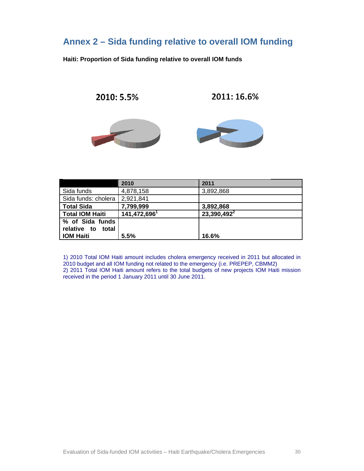# **Annex 2 – Sida funding relative to overall IOM funding**

**Haiti: Proportion of Sida funding relative to overall IOM funds** 

2010: 5.5%

2011: 16.6%





|                        | 2010                     | 2011                    |
|------------------------|--------------------------|-------------------------|
| Sida funds             | 4,878,158                | 3,892,868               |
| Sida funds: cholera    | 2,921,841                |                         |
| <b>Total Sida</b>      | 7,799,999                | 3,892,868               |
| <b>Total IOM Haiti</b> | 141,472,696 <sup>1</sup> | 23,390,492 <sup>2</sup> |
| % of Sida funds        |                          |                         |
| relative to<br>total   |                          |                         |
| <b>IOM Haiti</b>       | 5.5%                     | 16.6%                   |

1) 2010 Total IOM Haiti amount includes cholera emergency received in 2011 but allocated in 2010 budget and all IOM funding not related to the emergency (i.e. PREPEP, CBMM2) 2) 2011 Total IOM Haiti amount refers to the total budgets of new projects IOM Haiti mission received in the period 1 January 2011 until 30 June 2011.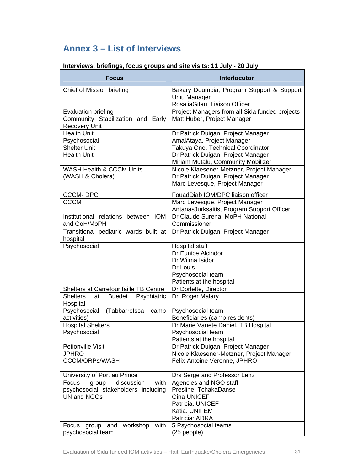# **Annex 3 – List of Interviews**

| Interviews, briefings, focus groups and site visits: 11 July - 20 July |
|------------------------------------------------------------------------|
|------------------------------------------------------------------------|

| <b>Focus</b>                                                      | <b>Interlocutor</b>                                              |
|-------------------------------------------------------------------|------------------------------------------------------------------|
| Chief of Mission briefing                                         | Bakary Doumbia, Program Support & Support<br>Unit, Manager       |
|                                                                   | RosaliaGitau, Liaison Officer                                    |
| <b>Evaluation briefing</b><br>Community Stabilization and Early   | Project Managers from all Sida funded projects                   |
| <b>Recovery Unit</b>                                              | Matt Huber, Project Manager                                      |
| <b>Health Unit</b><br>Psychosocial                                | Dr Patrick Duigan, Project Manager<br>AmalAtaya, Project Manager |
| <b>Shelter Unit</b>                                               | Takuya Ono, Technical Coordinator                                |
| <b>Health Unit</b>                                                | Dr Patrick Duigan, Project Manager                               |
|                                                                   | Miriam Mutalu, Community Mobilizer                               |
| <b>WASH Health &amp; CCCM Units</b>                               | Nicole Klaesener-Metzner, Project Manager                        |
| (WASH & Cholera)                                                  | Dr Patrick Duigan, Project Manager                               |
|                                                                   | Marc Levesque, Project Manager                                   |
| <b>CCCM-DPC</b>                                                   | FouadDiab IOM/DPC liaison officer                                |
| <b>CCCM</b>                                                       | Marc Levesque, Project Manager                                   |
|                                                                   | AntanasJurksaitis, Program Support Officer                       |
| Institutional relations between IOM                               | Dr Claude Surena, MoPH National                                  |
| and GoH/MoPH                                                      | Commissioner                                                     |
| Transitional pediatric wards built at<br>hospital                 | Dr Patrick Duigan, Project Manager                               |
| Psychosocial                                                      | <b>Hospital staff</b>                                            |
|                                                                   | Dr Eunice Alcindor                                               |
|                                                                   | Dr Wilma Isidor                                                  |
|                                                                   | Dr Louis                                                         |
|                                                                   | Psychosocial team                                                |
|                                                                   | Patients at the hospital                                         |
| Shelters at Carrefour faille TB Centre                            | Dr Dorlette, Director                                            |
| <b>Shelters</b><br><b>Buedet</b><br>Psychiatric<br>at<br>Hospital | Dr. Roger Malary                                                 |
| Psychosocial<br>(Tabbarrelssa<br>camp                             | Psychosocial team                                                |
| activities)                                                       | Beneficiaries (camp residents)                                   |
| <b>Hospital Shelters</b>                                          | Dr Marie Vanete Daniel, TB Hospital                              |
| Psychosocial                                                      | Psychosocial team                                                |
|                                                                   | Patients at the hospital                                         |
| Petionville Visit                                                 | Dr Patrick Duigan, Project Manager                               |
| JPHRO                                                             | Nicole Klaesener-Metzner, Project Manager                        |
| <b>CCCM/ORPs/WASH</b>                                             | Felix-Antoine Veronne, JPHRO                                     |
| University of Port au Prince                                      | Drs Serge and Professor Lenz                                     |
| discussion<br>with<br>Focus<br>group                              | Agencies and NGO staff                                           |
| psychosocial stakeholders including                               | Presline, TchakaDanse                                            |
| UN and NGOs                                                       | <b>Gina UNICEF</b>                                               |
|                                                                   | Patricia. UNICEF                                                 |
|                                                                   | Katia. UNIFEM                                                    |
|                                                                   | Patricia: ADRA                                                   |
| workshop<br>Focus<br>and<br>with<br>group                         | 5 Psychosocial teams                                             |
| psychosocial team                                                 | (25 people)                                                      |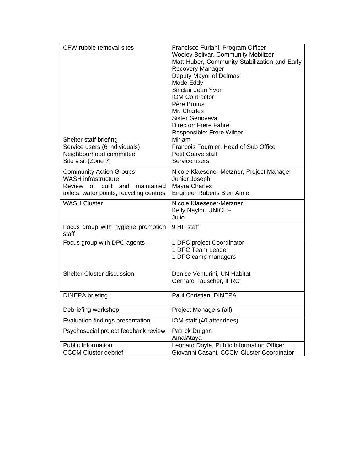| CFW rubble removal sites                                                        | Francisco Furlani, Program Officer<br>Wooley Bolivar, Community Mobilizer<br>Matt Huber, Community Stabilization and Early<br>Recovery Manager<br>Deputy Mayor of Delmas<br>Mode Eddy<br>Sinclair Jean Yvon<br><b>IOM Contractor</b><br>Père Brutus<br>Mr. Charles<br>Sister Genoveva<br>Director: Frere Fahrel<br>Responsible: Frere Wilner |
|---------------------------------------------------------------------------------|----------------------------------------------------------------------------------------------------------------------------------------------------------------------------------------------------------------------------------------------------------------------------------------------------------------------------------------------|
| Shelter staff briefing                                                          | Miriam                                                                                                                                                                                                                                                                                                                                       |
| Service users (6 individuals)<br>Neighbourhood committee<br>Site visit (Zone 7) | Francois Fournier, Head of Sub Office<br><b>Petit Goave staff</b><br>Service users                                                                                                                                                                                                                                                           |
| <b>Community Action Groups</b>                                                  | Nicole Klaesener-Metzner, Project Manager                                                                                                                                                                                                                                                                                                    |
| <b>WASH</b> infrastructure                                                      | Junior Joseph                                                                                                                                                                                                                                                                                                                                |
| of built and<br>Review<br>maintained                                            | Mayra Charles                                                                                                                                                                                                                                                                                                                                |
| toilets, water points, recycling centres                                        | Engineer Rubens Bien Aime                                                                                                                                                                                                                                                                                                                    |
| <b>WASH Cluster</b>                                                             | Nicole Klaesener-Metzner                                                                                                                                                                                                                                                                                                                     |
|                                                                                 | Kelly Naylor, UNICEF                                                                                                                                                                                                                                                                                                                         |
|                                                                                 | Julio                                                                                                                                                                                                                                                                                                                                        |
| Focus group with hygiene promotion<br>staff                                     | 9 HP staff                                                                                                                                                                                                                                                                                                                                   |
| Focus group with DPC agents                                                     | 1 DPC project Coordinator                                                                                                                                                                                                                                                                                                                    |
|                                                                                 | 1 DPC Team Leader                                                                                                                                                                                                                                                                                                                            |
|                                                                                 | 1 DPC camp managers                                                                                                                                                                                                                                                                                                                          |
| Shelter Cluster discussion                                                      |                                                                                                                                                                                                                                                                                                                                              |
|                                                                                 | Denise Venturini, UN Habitat<br>Gerhard Tauscher, IFRC                                                                                                                                                                                                                                                                                       |
| <b>DINEPA</b> briefing                                                          | Paul Christian, DINEPA                                                                                                                                                                                                                                                                                                                       |
| Debriefing workshop                                                             | Project Managers (all)                                                                                                                                                                                                                                                                                                                       |
| Evaluation findings presentation                                                | IOM staff (40 attendees)                                                                                                                                                                                                                                                                                                                     |
| Psychosocial project feedback review                                            | Patrick Duigan<br>AmalAtaya                                                                                                                                                                                                                                                                                                                  |
| Public Information                                                              | Leonard Doyle, Public Information Officer                                                                                                                                                                                                                                                                                                    |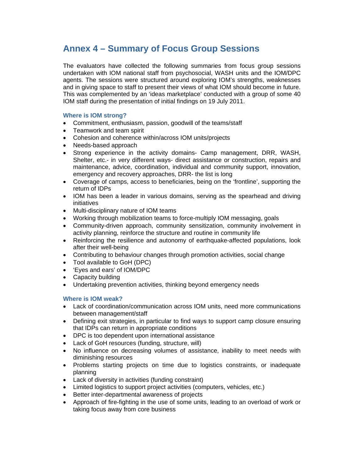# **Annex 4 – Summary of Focus Group Sessions**

The evaluators have collected the following summaries from focus group sessions undertaken with IOM national staff from psychosocial, WASH units and the IOM/DPC agents. The sessions were structured around exploring IOM's strengths, weaknesses and in giving space to staff to present their views of what IOM should become in future. This was complemented by an 'ideas marketplace' conducted with a group of some 40 IOM staff during the presentation of initial findings on 19 July 2011.

# **Where is IOM strong?**

- Commitment, enthusiasm, passion, goodwill of the teams/staff
- Teamwork and team spirit
- Cohesion and coherence within/across IOM units/projects
- Needs-based approach
- Strong experience in the activity domains- Camp management, DRR, WASH, Shelter, etc.- in very different ways- direct assistance or construction, repairs and maintenance, advice, coordination, individual and community support, innovation, emergency and recovery approaches, DRR- the list is long
- Coverage of camps, access to beneficiaries, being on the 'frontline', supporting the return of IDPs
- IOM has been a leader in various domains, serving as the spearhead and driving initiatives
- Multi-disciplinary nature of IOM teams
- Working through mobilization teams to force-multiply IOM messaging, goals
- Community-driven approach, community sensitization, community involvement in activity planning, reinforce the structure and routine in community life
- Reinforcing the resilience and autonomy of earthquake-affected populations, look after their well-being
- Contributing to behaviour changes through promotion activities, social change
- Tool available to GoH (DPC)
- 'Eyes and ears' of IOM/DPC
- Capacity building
- Undertaking prevention activities, thinking beyond emergency needs

# **Where is IOM weak?**

- Lack of coordination/communication across IOM units, need more communications between management/staff
- Defining exit strategies, in particular to find ways to support camp closure ensuring that IDPs can return in appropriate conditions
- DPC is too dependent upon international assistance
- Lack of GoH resources (funding, structure, will)
- No influence on decreasing volumes of assistance, inability to meet needs with diminishing resources
- Problems starting projects on time due to logistics constraints, or inadequate planning
- Lack of diversity in activities (funding constraint)
- Limited logistics to support project activities (computers, vehicles, etc.)
- Better inter-departmental awareness of projects
- Approach of fire-fighting in the use of some units, leading to an overload of work or taking focus away from core business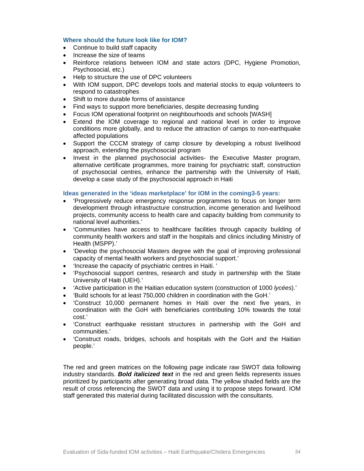# **Where should the future look like for IOM?**

- Continue to build staff capacity
- Increase the size of teams
- Reinforce relations between IOM and state actors (DPC, Hygiene Promotion, Psychosocial, etc.)
- Help to structure the use of DPC volunteers
- With IOM support, DPC develops tools and material stocks to equip volunteers to respond to catastrophes
- Shift to more durable forms of assistance
- Find ways to support more beneficiaries, despite decreasing funding
- Focus IOM operational footprint on neighbourhoods and schools [WASH]
- Extend the IOM coverage to regional and national level in order to improve conditions more globally, and to reduce the attraction of camps to non-earthquake affected populations
- Support the CCCM strategy of camp closure by developing a robust livelihood approach, extending the psychosocial program
- Invest in the planned psychosocial activities- the Executive Master program, alternative certificate programmes, more training for psychiatric staff, construction of psychosocial centres, enhance the partnership with the University of Haiti, develop a case study of the psychosocial approach in Haiti

# **Ideas generated in the 'ideas marketplace' for IOM in the coming3-5 years:**

- 'Progressively reduce emergency response programmes to focus on longer term development through infrastructure construction, income generation and livelihood projects, community access to health care and capacity building from community to national level authorities.'
- 'Communities have access to healthcare facilities through capacity building of community health workers and staff in the hospitals and clinics including Ministry of Health (MSPP).'
- 'Develop the psychosocial Masters degree with the goal of improving professional capacity of mental health workers and psychosocial support.'
- 'Increase the capacity of psychiatric centres in Haiti. '
- 'Psychosocial support centres, research and study in partnership with the State University of Haiti (UEH).'
- 'Active participation in the Haitian education system (construction of 1000 *lycées*).'
- 'Build schools for at least 750,000 children in coordination with the GoH.'
- 'Construct 10,000 permanent homes in Haiti over the next five years, in coordination with the GoH with beneficiaries contributing 10% towards the total cost.'
- 'Construct earthquake resistant structures in partnership with the GoH and communities.'
- 'Construct roads, bridges, schools and hospitals with the GoH and the Haitian people.'

The red and green matrices on the following page indicate raw SWOT data following industry standards. *Bold italicized text* in the red and green fields represents issues prioritized by participants after generating broad data. The yellow shaded fields are the result of cross referencing the SWOT data and using it to propose steps forward. IOM staff generated this material during facilitated discussion with the consultants.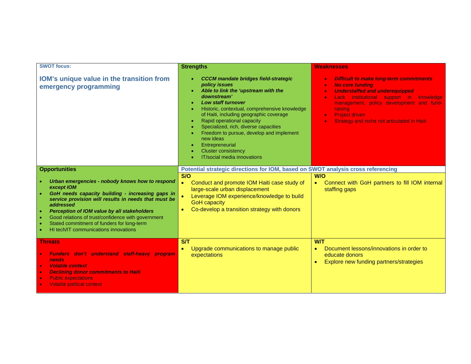| <b>SWOT focus:</b>                                                                                                                                                                                                                                                                                                                                                                              | <b>Strengths</b>                                                                                                                                                                                                                                                                                                                                                                                                                                                                        | <b>Weaknesses</b>                                                                                                                                                                                                                                                                                                                                            |
|-------------------------------------------------------------------------------------------------------------------------------------------------------------------------------------------------------------------------------------------------------------------------------------------------------------------------------------------------------------------------------------------------|-----------------------------------------------------------------------------------------------------------------------------------------------------------------------------------------------------------------------------------------------------------------------------------------------------------------------------------------------------------------------------------------------------------------------------------------------------------------------------------------|--------------------------------------------------------------------------------------------------------------------------------------------------------------------------------------------------------------------------------------------------------------------------------------------------------------------------------------------------------------|
| IOM's unique value in the transition from<br>emergency programming                                                                                                                                                                                                                                                                                                                              | <b>CCCM</b> mandate bridges field-strategic<br>٠<br>policy issues<br>Able to link the 'upstream with the<br>٠<br>downstream'<br><b>Low staff turnover</b><br>Historic, contextual, comprehensive knowledge<br>of Haiti, including geographic coverage<br>Rapid operational capacity<br>$\bullet$<br>Specialized, rich, diverse capacities<br>Freedom to pursue, develop and implement<br>new ideas<br>Entrepreneurial<br>٠<br><b>Cluster consistency</b><br>IT/social media innovations | <b>Difficult to make long-term commitments</b><br>$\bullet$<br><b>No core funding</b><br>$\bullet$<br><b>Understaffed and underequipped</b><br>$\bullet$<br>Lack institutional support in knowledge<br>$\bullet$<br>management, policy development and fund-<br>raising<br><b>Project driven</b><br>$\bullet$<br>Strategy and niche not articulated in Haiti |
| <b>Opportunities</b>                                                                                                                                                                                                                                                                                                                                                                            | Potential strategic directions for IOM, based on SWOT analysis cross referencing                                                                                                                                                                                                                                                                                                                                                                                                        |                                                                                                                                                                                                                                                                                                                                                              |
| Urban emergencies - nobody knows how to respond<br>except IOM<br>GoH needs capacity building - increasing gaps in<br>service provision will results in needs that must be<br>addressed<br>Perception of IOM value by all stakeholders<br>$\bullet$<br>Good relations of trust/confidence with government<br>Stated commitment of funders for long-term<br>HI tech/IT communications innovations | S/O<br>Conduct and promote IOM Haiti case study of<br>$\bullet$<br>large-scale urban displacement<br>Leverage IOM experience/knowledge to build<br><b>GoH</b> capacity<br>Co-develop a transition strategy with donors                                                                                                                                                                                                                                                                  | W/O<br>Connect with GoH partners to fill IOM internal<br>$\bullet$<br>staffing gaps                                                                                                                                                                                                                                                                          |
| <b>Threats</b><br><b>Funders don't understand staff-heavy program</b><br><b>needs</b><br><b>Volatile context</b><br>$\bullet$<br><b>Declining donor commitments to Haiti</b><br>$\bullet$<br><b>Public expectations</b><br>$\bullet$<br><b>Volatile political context</b>                                                                                                                       | ST<br>Upgrade communications to manage public<br>expectations                                                                                                                                                                                                                                                                                                                                                                                                                           | <b>W/T</b><br>Document lessons/innovations in order to<br>$\bullet$<br>educate donors<br>Explore new funding partners/strategies                                                                                                                                                                                                                             |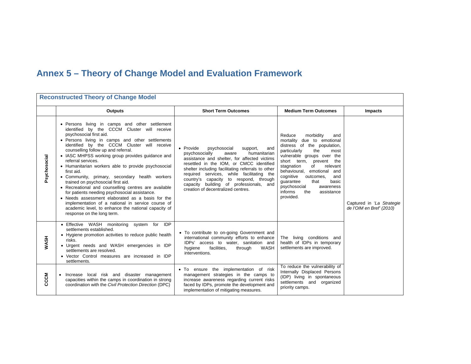# **Annex 5 – Theory of Change Model and Evaluation Framework**

| <b>Reconstructed Theory of Change Model</b> |                                                                                                                                                                                                                                                                                                                                                                                                                                                                                                                                                                                                                                                                                                                                                                                                                 |                                                                                                                                                                                                                                                                                                                                                                                                                  |                                                                                                                                                                                                                                                                                                                                                                                                 |                                                       |
|---------------------------------------------|-----------------------------------------------------------------------------------------------------------------------------------------------------------------------------------------------------------------------------------------------------------------------------------------------------------------------------------------------------------------------------------------------------------------------------------------------------------------------------------------------------------------------------------------------------------------------------------------------------------------------------------------------------------------------------------------------------------------------------------------------------------------------------------------------------------------|------------------------------------------------------------------------------------------------------------------------------------------------------------------------------------------------------------------------------------------------------------------------------------------------------------------------------------------------------------------------------------------------------------------|-------------------------------------------------------------------------------------------------------------------------------------------------------------------------------------------------------------------------------------------------------------------------------------------------------------------------------------------------------------------------------------------------|-------------------------------------------------------|
|                                             | <b>Outputs</b>                                                                                                                                                                                                                                                                                                                                                                                                                                                                                                                                                                                                                                                                                                                                                                                                  | <b>Short Term Outcomes</b>                                                                                                                                                                                                                                                                                                                                                                                       | <b>Medium Term Outcomes</b>                                                                                                                                                                                                                                                                                                                                                                     | Impacts                                               |
| Psychosocial                                | • Persons living in camps and other settlement<br>identified by the CCCM Cluster will receive<br>psychosocial first aid.<br>• Persons living in camps and other settlements<br>identified by the CCCM Cluster will receive<br>counselling follow up and referral.<br>• IASC MHPSS working group provides guidance and<br>referral services.<br>• Humanitarian workers able to provide psychosocial<br>first aid.<br>• Community, primary, secondary health workers<br>trained on psychosocial first aid.<br>• Recreational and counselling centres are available<br>for patients needing psychosocial assistance.<br>• Needs assessment elaborated as a basis for the<br>implementation of a national in service course of<br>academic level, to enhance the national capacity of<br>response on the long term. | • Provide<br>psychosocial<br>and<br>support,<br>humanitarian<br>psychosocially<br>aware<br>assistance and shelter, for affected victims<br>resettled in the IOM, or CMCC identified<br>shelter including facilitating referrals to other<br>required services, while facilitating the<br>country's capacity to respond, through<br>capacity building of professionals, and<br>creation of decentralized centres. | Reduce<br>morbidity<br>and<br>mortality<br>due to emotional<br>distress of the population,<br>particularly<br>the<br>most<br>vulnerable groups over the<br>short term, prevent the<br>stagnation<br>of<br>relevant<br>behavioural,<br>emotional<br>and<br>cognitive<br>outcomes.<br>and<br>guarantee<br>that<br>basic<br>psychosocial<br>awareness<br>informs<br>the<br>assistance<br>provided. | Captured in 'La Strategie<br>de l'OIM en Bref' (2010) |
| <b>WASH</b>                                 | • Effective WASH monitoring system for IDP<br>settlements established.<br>• Hygiene promotion activities to reduce public health<br>risks.<br>• Urgent needs and WASH emergencies in IDP<br>settlements are resolved.<br>• Vector Control measures are increased in IDP<br>settlements.                                                                                                                                                                                                                                                                                                                                                                                                                                                                                                                         | • To contribute to on-going Government and<br>international community efforts to enhance<br>IDPs' access to water, sanitation and<br>facilities,<br>WASH<br>hygiene<br>through<br>interventions.                                                                                                                                                                                                                 | The living conditions and<br>health of IDPs in temporary<br>settlements are improved.                                                                                                                                                                                                                                                                                                           |                                                       |
| CCCM                                        | • Increase local risk and disaster management<br>capacities within the camps in coordination in strong<br>coordination with the Civil Protection Direction (DPC)                                                                                                                                                                                                                                                                                                                                                                                                                                                                                                                                                                                                                                                | • To ensure the implementation of risk<br>management strategies in the camps to<br>increase awareness regarding current risks<br>faced by IDPs, promote the development and<br>implementation of mitigating measures.                                                                                                                                                                                            | To reduce the vulnerability of<br>Internally Displaced Persons<br>(IDP) living in spontaneous<br>settlements and organized<br>priority camps.                                                                                                                                                                                                                                                   |                                                       |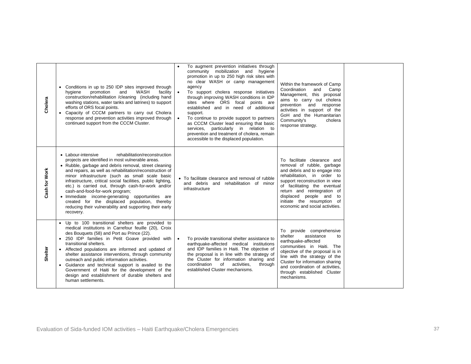| Cholera       | • Conditions in up to 250 IDP sites improved through<br>promotion<br>WASH<br>hygiene<br>and<br>facility<br>construction/rehabilitation /cleaning (including hand<br>washing stations, water tanks and latrines) to support<br>efforts of ORS focal points.<br>Capacity of CCCM partners to carry out Cholera<br>response and prevention activities improved through<br>continued support from the CCCM Cluster.                                                                                                                                                                                                       | $\bullet$<br>$\bullet$ | To augment prevention initiatives through<br>community mobilization and hygiene<br>promotion in up to 250 high risk sites with<br>no clear WASH or camp management<br>agency<br>To support cholera response initiatives<br>through improving WASH conditions in IDP<br>sites where ORS focal points are<br>established and in need of additional<br>support.<br>To continue to provide support to partners<br>as CCCM Cluster lead ensuring that basic<br>services, particularly in relation to<br>prevention and treatment of cholera, remain<br>accessible to the displaced population. | Within the framework of Camp<br>Coordination<br>Camp<br>and<br>Management, this proposal<br>aims to carry out cholera<br>prevention and response<br>activities in support of the<br>GoH and the Humanitarian<br>Community's<br>cholera<br>response strategy.                                                           |  |
|---------------|-----------------------------------------------------------------------------------------------------------------------------------------------------------------------------------------------------------------------------------------------------------------------------------------------------------------------------------------------------------------------------------------------------------------------------------------------------------------------------------------------------------------------------------------------------------------------------------------------------------------------|------------------------|-------------------------------------------------------------------------------------------------------------------------------------------------------------------------------------------------------------------------------------------------------------------------------------------------------------------------------------------------------------------------------------------------------------------------------------------------------------------------------------------------------------------------------------------------------------------------------------------|------------------------------------------------------------------------------------------------------------------------------------------------------------------------------------------------------------------------------------------------------------------------------------------------------------------------|--|
| Cash for Work | • Labour-intensive<br>rehabilitation/reconstruction<br>projects are identified in most vulnerable areas.<br>• Rubble, garbage and debris removal, street cleaning<br>and repairs, as well as rehabilitation/reconstruction of<br>minor infrastructure (such as small scale basic<br>infrastructure, critical social facilities, public lighting,<br>etc.) is carried out, through cash-for-work and/or<br>cash-and-food-for-work program;<br>• Immediate income-generating opportunities are<br>created for the displaced population, thereby<br>reducing their vulnerability and supporting their early<br>recovery. |                        | • To facilitate clearance and removal of rubble<br>and debris and rehabilitation of minor<br>infrastructure                                                                                                                                                                                                                                                                                                                                                                                                                                                                               | To facilitate clearance and<br>removal of rubble, garbage<br>and debris and to engage into<br>rehabilitation, in order to<br>support reconstruction in view<br>of facilitating the eventual<br>return and reintegration of<br>displaced people and to<br>initiate the resumption of<br>economic and social activities. |  |
| Shelter       | • Up to 100 transitional shelters are provided to<br>medical institutions in Carrefour feuille (20), Croix<br>des Bouquets (58) and Port au Prince (22).<br>· 250 IDP families in Petit Goave provided with<br>transitional shelters.<br>• Affected populations are informed and updated of<br>shelter assistance interventions, through community<br>outreach and public information activities.<br>• Guidance and technical support is availed to the<br>Government of Haiti for the development of the<br>design and establishment of durable shelters and<br>human settlements.                                   | $\bullet$              | To provide transitional shelter assistance to<br>earthquake-affected medical institutions<br>and IDP families in Haiti. The objective of<br>the proposal is in line with the strategy of<br>the Cluster for information sharing and<br>coordination<br>of<br>activities.<br>through<br>established Cluster mechanisms.                                                                                                                                                                                                                                                                    | To provide comprehensive<br>shelter<br>assistance<br>to<br>earthquake-affected<br>communities in Haiti. The<br>objective of the proposal is in<br>line with the strategy of the<br>Cluster for information sharing<br>and coordination of activities.<br>through established Cluster<br>mechanisms.                    |  |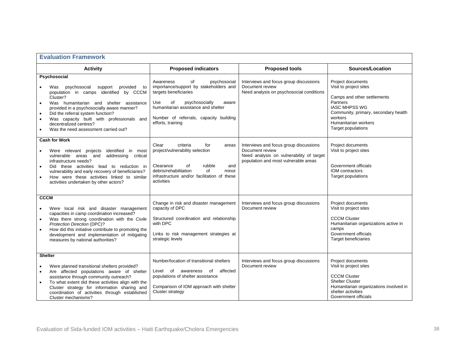| <b>Evaluation Framework</b>                                                                                                                                                                                                                                                                                                                                             |                                                                                                                                                                                                                                                        |                                                                                                                                               |                                                                                                                                                                                                                        |  |
|-------------------------------------------------------------------------------------------------------------------------------------------------------------------------------------------------------------------------------------------------------------------------------------------------------------------------------------------------------------------------|--------------------------------------------------------------------------------------------------------------------------------------------------------------------------------------------------------------------------------------------------------|-----------------------------------------------------------------------------------------------------------------------------------------------|------------------------------------------------------------------------------------------------------------------------------------------------------------------------------------------------------------------------|--|
| <b>Activity</b>                                                                                                                                                                                                                                                                                                                                                         | <b>Proposed indicators</b>                                                                                                                                                                                                                             | <b>Proposed tools</b>                                                                                                                         | Sources/Location                                                                                                                                                                                                       |  |
| Psychosocial<br>psychosocial<br>support provided<br>Was<br>population in camps identified by CCCM<br>Cluster?<br>Was humanitarian and shelter assistance<br>provided in a psychosocially aware manner?<br>Did the referral system function?<br>Was capacity built with professionals and<br>$\bullet$<br>decentralized centres?<br>Was the need assessment carried out? | Awareness<br>of<br>psychosocial<br>importance/support by stakeholders and<br>to<br>targets beneficiaries<br>psychosocially<br>Use<br>of<br>aware<br>humanitarian assistance and shelter<br>Number of referrals, capacity building<br>efforts, training | Interviews and focus group discussions<br>Document review<br>Need analysis on psychosocial conditions                                         | Project documents<br>Visit to project sites<br>Camps and other settlements<br>Partners<br><b>IASC MHPSS WG</b><br>Community, primary, secondary health<br>workers<br>Humanitarian workers<br><b>Target populations</b> |  |
| <b>Cash for Work</b><br>Were relevant projects identified in most<br>vulnerable areas and<br>addressing critical<br>infrastructure needs?<br>Did these activities lead to reduction in<br>$\bullet$<br>vulnerability and early recovery of beneficiaries?<br>How were these activities linked to similar<br>activities undertaken by other actors?                      | Clear<br>criteria<br>for<br>areas<br>project/vulnerability selection<br>Clearance<br>of<br>rubble<br>and<br>debris/rehabilitation<br>of<br>minor<br>infrastructure and/or facilitation of these<br>activities                                          | Interviews and focus group discussions<br>Document review<br>Need analysis on vulnerability of target<br>population and most vulnerable areas | Project documents<br>Visit to project sites<br>Government officials<br><b>IOM</b> contractors<br><b>Target populations</b>                                                                                             |  |
| <b>CCCM</b><br>Were local risk and disaster management<br>capacities in camp coordination increased?<br>Was there strong coordination with the Civile<br>$\bullet$<br>Protection Direction (DPC)?<br>How did this initiative contribute to promoting the<br>development and implementation of mitigating<br>measures by national authorities?                           | Change in risk and disaster management<br>capacity of DPC<br>Structured coordination and relationship<br>with DPC<br>Links to risk management strategies at<br>strategic levels                                                                        | Interviews and focus group discussions<br>Document review                                                                                     | Project documents<br>Visit to project sites<br><b>CCCM Cluster</b><br>Humanitarian organizations active in<br>camps<br>Government officials<br><b>Target beneficiaries</b>                                             |  |
| <b>Shelter</b><br>Were planned transitional shelters provided?<br>Are affected populations aware of shelter<br>$\bullet$<br>assistance through community outreach?<br>To what extent did these activities align with the<br>$\bullet$<br>Cluster strategy for information sharing and<br>coordination of activities through established<br>Cluster mechanisms?          | Number/location of transitional shelters<br>of<br>awareness<br>of<br>affected<br>Level<br>populations of shelter assistance<br>Comparison of IOM approach with shelter<br>Cluster strategy                                                             | Interviews and focus group discussions<br>Document review                                                                                     | Project documents<br>Visit to project sites<br><b>CCCM Cluster</b><br><b>Shelter Cluster</b><br>Humanitarian organizations involved in<br>shelter activities<br>Government officials                                   |  |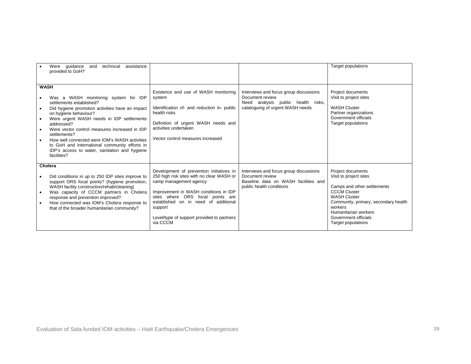|                          | Were guidance<br>technical<br>assistance<br>and<br>provided to GoH?                                                                                                                                                                                                                                                                                                                                                                        |                                                                                                                                                                                                                                                                                                           |                                                                                                                                     | <b>Target populations</b>                                                                                                                                                                                                                         |
|--------------------------|--------------------------------------------------------------------------------------------------------------------------------------------------------------------------------------------------------------------------------------------------------------------------------------------------------------------------------------------------------------------------------------------------------------------------------------------|-----------------------------------------------------------------------------------------------------------------------------------------------------------------------------------------------------------------------------------------------------------------------------------------------------------|-------------------------------------------------------------------------------------------------------------------------------------|---------------------------------------------------------------------------------------------------------------------------------------------------------------------------------------------------------------------------------------------------|
| <b>WASH</b><br>$\bullet$ | Was a WASH monitoring system for IDP<br>settlements established?<br>Did hygiene promotion activities have an impact<br>on hygiene behaviour?<br>Were urgent WASH needs in IDP settlements<br>addressed?<br>Were vector control measures increased in IDP<br>settlements?<br>How well connected were IOM's WASH activities<br>to GoH and international community efforts in<br>IDP's access to water, sanitation and hygiene<br>facilities? | Existence and use of WASH monitoring<br>system<br>Identification of- and reduction in- public<br>health risks<br>Definition of urgent WASH needs and<br>activities undertaken<br>Vector control measures increased                                                                                        | Interviews and focus group discussions<br>Document review<br>Need analysis public health risks,<br>cataloguing of urgent WASH needs | Project documents<br>Visit to project sites<br><b>WASH Cluster</b><br>Partner organizations<br>Government officials<br>Target populations                                                                                                         |
|                          | Cholera<br>Did conditions in up to 250 IDP sites improve to<br>support ORS focal points? (hygiene promotion,<br>WASH facility construction/rehab/cleaning)<br>Was capacity of CCCM partners in Cholera<br>response and prevention improved?<br>How connected was IOM's Cholera response to<br>that of the broader humanitarian community?                                                                                                  | Development of prevention initiatives in<br>250 high risk sites with no clear WASH or<br>camp management agency<br>Improvement in WASH conditions in IDP<br>sites where ORS focal points are<br>established on in need of additional<br>support<br>Level/type of support provided to partners<br>via CCCM | Interviews and focus group discussions<br>Document review<br>Baseline data on WASH facilities and<br>public health conditions       | Project documents<br>Visit to project sites<br>Camps and other settlements<br><b>CCCM Cluster</b><br><b>WASH Cluster</b><br>Community, primary, secondary health<br>workers<br>Humanitarian workers<br>Government officials<br>Target populations |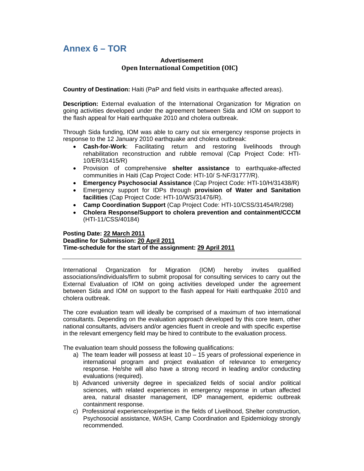# **Annex 6 – TOR**

# **Advertisement Open International Competition (OIC)**

**Country of Destination:** Haiti (PaP and field visits in earthquake affected areas).

**Description:** External evaluation of the International Organization for Migration on going activities developed under the agreement between Sida and IOM on support to the flash appeal for Haiti earthquake 2010 and cholera outbreak.

Through Sida funding, IOM was able to carry out six emergency response projects in response to the 12 January 2010 earthquake and cholera outbreak:

- **Cash-for-Work**: Facilitating return and restoring livelihoods through rehabilitation reconstruction and rubble removal (Cap Project Code: HTI-10/ER/31415/R)
- Provision of comprehensive **shelter assistance** to earthquake-affected communities in Haiti (Cap Project Code: HTI-10/ S-NF/31777/R).
- **Emergency Psychosocial Assistance** (Cap Project Code: HTI-10/H/31438/R)
- Emergency support for IDPs through **provision of Water and Sanitation facilities** (Cap Project Code: HTI-10/WS/31476/R).
- **Camp Coordination Support** (Cap Project Code: HTI-10/CSS/31454/R/298)
- **Cholera Response/Support to cholera prevention and containment/CCCM**  (HTI-11/CSS/40184)

### **Posting Date: 22 March 2011 Deadline for Submission: 20 April 2011 Time-schedule for the start of the assignment: 29 April 2011**

International Organization for Migration (IOM) hereby invites qualified associations/individuals/firm to submit proposal for consulting services to carry out the External Evaluation of IOM on going activities developed under the agreement between Sida and IOM on support to the flash appeal for Haiti earthquake 2010 and cholera outbreak.

The core evaluation team will ideally be comprised of a maximum of two international consultants. Depending on the evaluation approach developed by this core team, other national consultants, advisers and/or agencies fluent in creole and with specific expertise in the relevant emergency field may be hired to contribute to the evaluation process.

The evaluation team should possess the following qualifications:

- a) The team leader will possess at least 10 15 years of professional experience in international program and project evaluation of relevance to emergency response. He/she will also have a strong record in leading and/or conducting evaluations (required).
- b) Advanced university degree in specialized fields of social and/or political sciences, with related experiences in emergency response in urban affected area, natural disaster management, IDP management, epidemic outbreak containment response.
- c) Professional experience/expertise in the fields of Livelihood, Shelter construction, Psychosocial assistance, WASH, Camp Coordination and Epidemiology strongly recommended.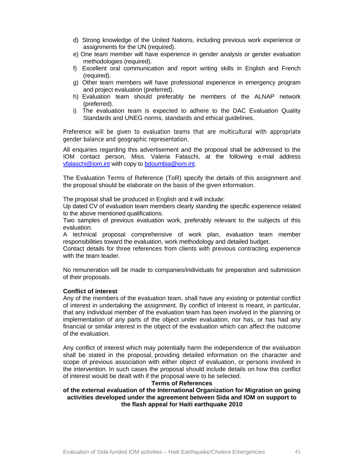- d) Strong knowledge of the United Nations, including previous work experience or assignments for the UN (required).
- e) One team member will have experience in gender analysis or gender evaluation methodologies (required).
- f) Excellent oral communication and report writing skills in English and French (required).
- g) Other team members will have professional experience in emergency program and project evaluation (preferred).
- h) Evaluation team should preferably be members of the ALNAP network (preferred).
- i) The evaluation team is expected to adhere to the DAC Evaluation Quality Standards and UNEG norms, standards and ethical guidelines.

Preference will be given to evaluation teams that are multicultural with appropriate gender balance and geographic representation.

All enquiries regarding this advertisement and the proposal shall be addressed to the IOM contact person, Miss. Valeria Falaschi, at the following e-mail address vfalaschi@iom.int with copy to bdoumbia@iom.int.

The Evaluation Terms of Reference (ToR) specify the details of this assignment and the proposal should be elaborate on the basis of the given information.

The proposal shall be produced in English and it will include:

Up dated CV of evaluation team members clearly standing the specific experience related to the above mentioned qualifications.

Two samples of previous evaluation work, preferably relevant to the subjects of this evaluation.

A technical proposal comprehensive of work plan, evaluation team member responsibilities toward the evaluation, work methodology and detailed budget.

Contact details for three references from clients with previous contracting experience with the team leader.

No remuneration will be made to companies/individuals for preparation and submission of their proposals.

# **Conflict of interest**

Any of the members of the evaluation team, shall have any existing or potential conflict of interest in undertaking the assignment. By conflict of interest is meant, in particular, that any individual member of the evaluation team has been involved in the planning or implementation of any parts of the object under evaluation, nor has, or has had any financial or similar interest in the object of the evaluation which can affect the outcome of the evaluation.

Any conflict of interest which may potentially harm the independence of the evaluation shall be stated in the proposal, providing detailed information on the character and scope of previous association with either object of evaluation, or persons involved in the intervention. In such cases the proposal should include details on how this conflict of interest would be dealt with if the proposal were to be selected.

#### **Terms of References**

**of the external evaluation of the International Organization for Migration on going activities developed under the agreement between Sida and IOM on support to the flash appeal for Haiti earthquake 2010**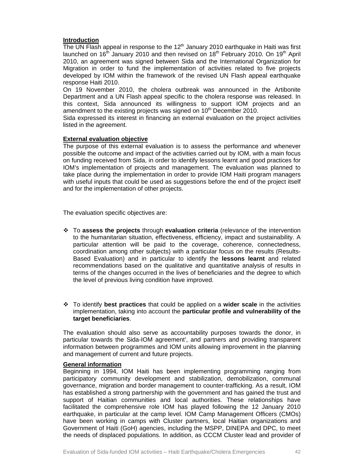# **Introduction**

The UN Flash appeal in response to the  $12<sup>th</sup>$  January 2010 earthquake in Haiti was first launched on 16<sup>th</sup> January 2010 and then revised on 18<sup>th</sup> February 2010. On 19<sup>th</sup> April 2010, an agreement was signed between Sida and the International Organization for Migration in order to fund the implementation of activities related to five projects developed by IOM within the framework of the revised UN Flash appeal earthquake response Haiti 2010.

On 19 November 2010, the cholera outbreak was announced in the Artibonite Department and a UN Flash appeal specific to the cholera response was released. In this context, Sida announced its willingness to support IOM projects and an amendment to the existing projects was signed on 10<sup>th</sup> December 2010.

Sida expressed its interest in financing an external evaluation on the project activities listed in the agreement.

# **External evaluation objective**

The purpose of this external evaluation is to assess the performance and whenever possible the outcome and impact of the activities carried out by IOM, with a main focus on funding received from Sida, in order to identify lessons learnt and good practices for IOM's implementation of projects and management. The evaluation was planned to take place during the implementation in order to provide IOM Haiti program managers with useful inputs that could be used as suggestions before the end of the project itself and for the implementation of other projects.

The evaluation specific objectives are:

- To **assess the projects** through **evaluation criteria** (relevance of the intervention to the humanitarian situation, effectiveness, efficiency, impact and sustainability. A particular attention will be paid to the coverage, coherence, connectedness, coordination among other subjects) with a particular focus on the results (Results-Based Evaluation) and in particular to identify the **lessons learnt** and related recommendations based on the qualitative and quantitative analysis of results in terms of the changes occurred in the lives of beneficiaries and the degree to which the level of previous living condition have improved.
- To identify **best practices** that could be applied on a **wider scale** in the activities implementation, taking into account the **particular profile and vulnerability of the target beneficiaries**.

The evaluation should also serve as accountability purposes towards the donor, in particular towards the Sida-IOM agreement', and partners and providing transparent information between programmes and IOM units allowing improvement in the planning and management of current and future projects.

# **General information**

Beginning in 1994, IOM Haiti has been implementing programming ranging from participatory community development and stabilization, demobilization, communal governance, migration and border management to counter-trafficking. As a result, IOM has established a strong partnership with the government and has gained the trust and support of Haitian communities and local authorities. These relationships have facilitated the comprehensive role IOM has played following the 12 January 2010 earthquake, in particular at the camp level. IOM Camp Management Officers (CMOs) have been working in camps with Cluster partners, local Haitian organizations and Government of Haiti (GoH) agencies, including the MSPP, DINEPA and DPC, to meet the needs of displaced populations. In addition, as CCCM Cluster lead and provider of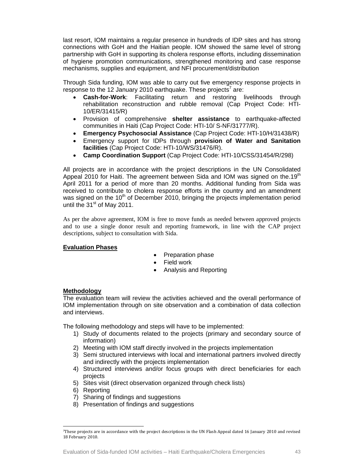last resort, IOM maintains a regular presence in hundreds of IDP sites and has strong connections with GoH and the Haitian people. IOM showed the same level of strong partnership with GoH in supporting its cholera response efforts, including dissemination of hygiene promotion communications, strengthened monitoring and case response mechanisms, supplies and equipment, and NFI procurement/distribution

Through Sida funding, IOM was able to carry out five emergency response projects in response to the 12 January 2010 earthquake. These projects<sup>7</sup> are:

- **Cash-for-Work**: Facilitating return and restoring livelihoods through rehabilitation reconstruction and rubble removal (Cap Project Code: HTI-10/ER/31415/R)
- Provision of comprehensive **shelter assistance** to earthquake-affected communities in Haiti (Cap Project Code: HTI-10/ S-NF/31777/R).
- **Emergency Psychosocial Assistance** (Cap Project Code: HTI-10/H/31438/R)
- Emergency support for IDPs through **provision of Water and Sanitation facilities** (Cap Project Code: HTI-10/WS/31476/R).
- **Camp Coordination Support** (Cap Project Code: HTI-10/CSS/31454/R/298)

All projects are in accordance with the project descriptions in the UN Consolidated Appeal 2010 for Haiti. The agreement between Sida and IOM was signed on the.19<sup>th</sup> April 2011 for a period of more than 20 months. Additional funding from Sida was received to contribute to cholera response efforts in the country and an amendment was signed on the  $10<sup>th</sup>$  of December 2010, bringing the projects implementation period until the 31<sup>st</sup> of May 2011.

As per the above agreement, IOM is free to move funds as needed between approved projects and to use a single donor result and reporting framework, in line with the CAP project descriptions, subject to consultation with Sida.

# **Evaluation Phases**

- Preparation phase
- Field work
- Analysis and Reporting

# **Methodology**

The evaluation team will review the activities achieved and the overall performance of IOM implementation through on site observation and a combination of data collection and interviews.

The following methodology and steps will have to be implemented:

- 1) Study of documents related to the projects (primary and secondary source of information)
- 2) Meeting with IOM staff directly involved in the projects implementation
- 3) Semi structured interviews with local and international partners involved directly and indirectly with the projects implementation
- 4) Structured interviews and/or focus groups with direct beneficiaries for each projects
- 5) Sites visit (direct observation organized through check lists)
- 6) Reporting
- 7) Sharing of findings and suggestions
- 8) Presentation of findings and suggestions

 $\overline{a}$ 7These projects are in accordance with the project descriptions in the UN Flash Appeal dated 16 January 2010 and revised 18 February 2010.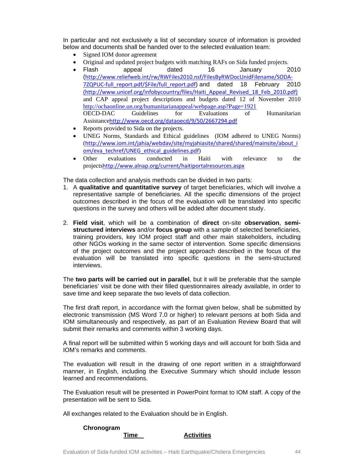In particular and not exclusively a list of secondary source of information is provided below and documents shall be handed over to the selected evaluation team:

- Signed IOM donor agreement
- Original and updated project budgets with matching RAFs on Sida funded projects.
- Flash appeal dated 16 January 2010 (http://www.reliefweb.int/rw/RWFiles2010.nsf/FilesByRWDocUnidFilename/SODA‐ 7ZQPUC-full\_report.pdf/\$File/full\_report.pdf) and dated 18 February 2010 (http://www.unicef.org/infobycountry/files/Haiti\_Appeal\_Revised\_18\_Feb\_2010.pdf) and CAP appeal project descriptions and budgets dated 12 of November 2010 http://ochaonline.un.org/humanitarianappeal/webpage.asp?Page=1921 OECD-DAC Guidelines for Evaluations of Humanitarian Assistancehttp://www.oecd.org/dataoecd/9/50/2667294.pdf
- Reports provided to Sida on the projects.
- UNEG Norms, Standards and Ethical guidelines (IOM adhered to UNEG Norms) (http://www.iom.int/jahia/webdav/site/myjahiasite/shared/shared/mainsite/about\_i om/eva\_techref/UNEG\_ethical\_guidelines.pdf)
- Other evaluations conducted in Haiti with relevance to the projectshttp://www.alnap.org/current/haitiportalresources.aspx

The data collection and analysis methods can be divided in two parts:

- 1. A **qualitative and quantitative survey** of target beneficiaries, which will involve a representative sample of beneficiaries. All the specific dimensions of the project outcomes described in the focus of the evaluation will be translated into specific questions in the survey and others will be added after document study.
- 2. **Field visit**, which will be a combination of **direct** on-site **observation**, **semistructured interviews** and/or **focus group** with a sample of selected beneficiaries, training providers, key IOM project staff and other main stakeholders, including other NGOs working in the same sector of intervention. Some specific dimensions of the project outcomes and the project approach described in the focus of the evaluation will be translated into specific questions in the semi-structured interviews.

The **two parts will be carried out in parallel**, but it will be preferable that the sample beneficiaries' visit be done with their filled questionnaires already available, in order to save time and keep separate the two levels of data collection.

The first draft report, in accordance with the format given below, shall be submitted by electronic transmission (MS Word 7.0 or higher) to relevant persons at both Sida and IOM simultaneously and respectively, as part of an Evaluation Review Board that will submit their remarks and comments within 3 working days.

A final report will be submitted within 5 working days and will account for both Sida and IOM's remarks and comments.

The evaluation will result in the drawing of one report written in a straightforward manner, in English, including the Executive Summary which should include lesson learned and recommendations.

The Evaluation result will be presented in PowerPoint format to IOM staff. A copy of the presentation will be sent to Sida.

All exchanges related to the Evaluation should be in English.

# **Chronogram Time Activities**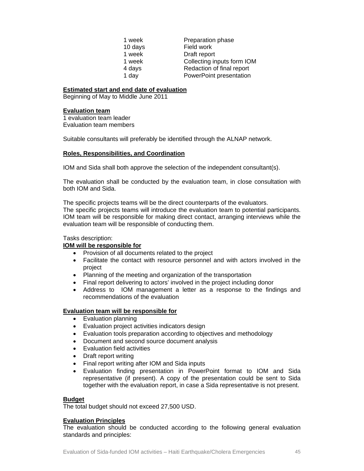| 1 week  | Preparation phase          |
|---------|----------------------------|
| 10 days | Field work                 |
| 1 week  | Draft report               |
| 1 week  | Collecting inputs form IOM |
| 4 days  | Redaction of final report  |
| 1 day   | PowerPoint presentation    |

# **Estimated start and end date of evaluation**

Beginning of May to Middle June 2011

# **Evaluation team**

1 evaluation team leader Evaluation team members

Suitable consultants will preferably be identified through the ALNAP network.

# **Roles, Responsibilities, and Coordination**

IOM and Sida shall both approve the selection of the independent consultant(s).

The evaluation shall be conducted by the evaluation team, in close consultation with both IOM and Sida.

The specific projects teams will be the direct counterparts of the evaluators.

The specific projects teams will introduce the evaluation team to potential participants. IOM team will be responsible for making direct contact, arranging interviews while the evaluation team will be responsible of conducting them.

# Tasks description:

# **IOM will be responsible for**

- Provision of all documents related to the project
- Facilitate the contact with resource personnel and with actors involved in the project
- Planning of the meeting and organization of the transportation
- Final report delivering to actors' involved in the project including donor
- Address to IOM management a letter as a response to the findings and recommendations of the evaluation

# **Evaluation team will be responsible for**

- Evaluation planning
- Evaluation project activities indicators design
- Evaluation tools preparation according to objectives and methodology
- Document and second source document analysis
- Evaluation field activities
- Draft report writing
- Final report writing after IOM and Sida inputs
- Evaluation finding presentation in PowerPoint format to IOM and Sida representative (if present). A copy of the presentation could be sent to Sida together with the evaluation report, in case a Sida representative is not present.

# **Budget**

The total budget should not exceed 27,500 USD.

# **Evaluation Principles**

The evaluation should be conducted according to the following general evaluation standards and principles: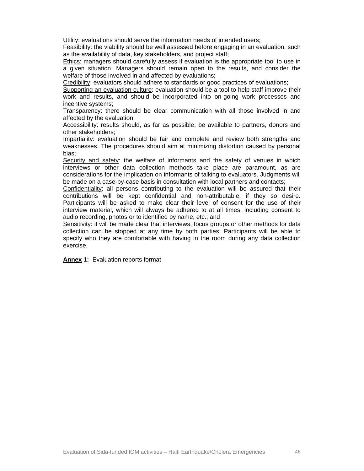Utility: evaluations should serve the information needs of intended users;

Feasibility: the viability should be well assessed before engaging in an evaluation, such as the availability of data, key stakeholders, and project staff;

Ethics: managers should carefully assess if evaluation is the appropriate tool to use in a given situation. Managers should remain open to the results, and consider the welfare of those involved in and affected by evaluations;

Credibility: evaluators should adhere to standards or good practices of evaluations;

Supporting an evaluation culture: evaluation should be a tool to help staff improve their work and results, and should be incorporated into on-going work processes and incentive systems;

Transparency: there should be clear communication with all those involved in and affected by the evaluation;

Accessibility: results should, as far as possible, be available to partners, donors and other stakeholders;

Impartiality: evaluation should be fair and complete and review both strengths and weaknesses. The procedures should aim at minimizing distortion caused by personal bias;

Security and safety: the welfare of informants and the safety of venues in which interviews or other data collection methods take place are paramount, as are considerations for the implication on informants of talking to evaluators. Judgments will be made on a case-by-case basis in consultation with local partners and contacts;

Confidentiality: all persons contributing to the evaluation will be assured that their contributions will be kept confidential and non-attributable, if they so desire. Participants will be asked to make clear their level of consent for the use of their interview material, which will always be adhered to at all times, including consent to audio recording, photos or to identified by name, etc.; and

Sensitivity: it will be made clear that interviews, focus groups or other methods for data collection can be stopped at any time by both parties. Participants will be able to specify who they are comfortable with having in the room during any data collection exercise.

**Annex 1:** Evaluation reports format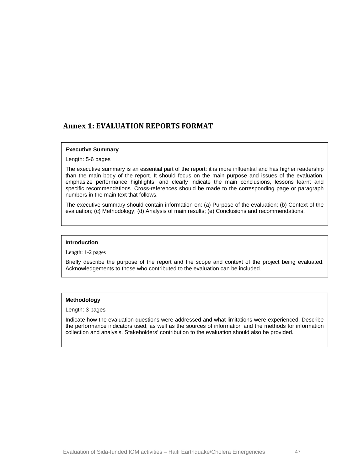# **Annex 1: EVALUATION REPORTS FORMAT**

# **Executive Summary**

Length: 5-6 pages

The executive summary is an essential part of the report: it is more influential and has higher readership than the main body of the report. It should focus on the main purpose and issues of the evaluation, emphasize performance highlights, and clearly indicate the main conclusions, lessons learnt and specific recommendations. Cross-references should be made to the corresponding page or paragraph numbers in the main text that follows.

The executive summary should contain information on: (a) Purpose of the evaluation; (b) Context of the evaluation; (c) Methodology; (d) Analysis of main results; (e) Conclusions and recommendations.

# **Introduction**

Length: 1-2 pages

Briefly describe the purpose of the report and the scope and context of the project being evaluated. Acknowledgements to those who contributed to the evaluation can be included.

#### **Methodology**

Length: 3 pages

Indicate how the evaluation questions were addressed and what limitations were experienced. Describe the performance indicators used, as well as the sources of information and the methods for information collection and analysis. Stakeholders' contribution to the evaluation should also be provided.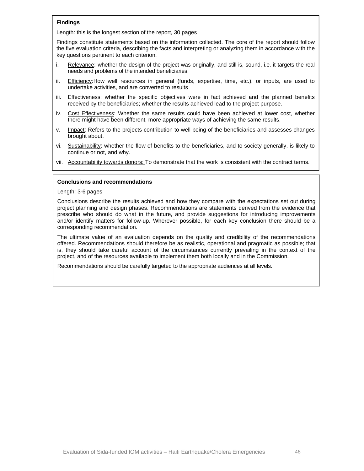# **Findings**

Length: this is the longest section of the report, 30 pages

Findings constitute statements based on the information collected. The core of the report should follow the five evaluation criteria, describing the facts and interpreting or analyzing them in accordance with the key questions pertinent to each criterion.

- i. Relevance: whether the design of the project was originally, and still is, sound, i.e. it targets the real needs and problems of the intended beneficiaries.
- ii. Efficiency:How well resources in general (funds, expertise, time, etc.), or inputs, are used to undertake activities, and are converted to results
- iii. Effectiveness: whether the specific objectives were in fact achieved and the planned benefits received by the beneficiaries; whether the results achieved lead to the project purpose.
- iv. Cost Effectiveness: Whether the same results could have been achieved at lower cost, whether there might have been different, more appropriate ways of achieving the same results.
- v. Impact: Refers to the projects contribution to well-being of the beneficiaries and assesses changes brought about.
- vi. Sustainability: whether the flow of benefits to the beneficiaries, and to society generally, is likely to continue or not, and why.
- vii. Accountability towards donors: To demonstrate that the work is consistent with the contract terms.

#### **Conclusions and recommendations**

#### Length: 3-6 pages

Conclusions describe the results achieved and how they compare with the expectations set out during project planning and design phases. Recommendations are statements derived from the evidence that prescribe who should do what in the future, and provide suggestions for introducing improvements and/or identify matters for follow-up. Wherever possible, for each key conclusion there should be a corresponding recommendation.

The ultimate value of an evaluation depends on the quality and credibility of the recommendations offered. Recommendations should therefore be as realistic, operational and pragmatic as possible; that is, they should take careful account of the circumstances currently prevailing in the context of the project, and of the resources available to implement them both locally and in the Commission.

Recommendations should be carefully targeted to the appropriate audiences at all levels.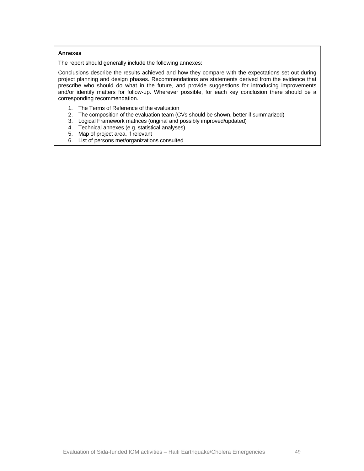#### **Annexes**

The report should generally include the following annexes:

Conclusions describe the results achieved and how they compare with the expectations set out during project planning and design phases. Recommendations are statements derived from the evidence that prescribe who should do what in the future, and provide suggestions for introducing improvements and/or identify matters for follow-up. Wherever possible, for each key conclusion there should be a corresponding recommendation.

- 1. The Terms of Reference of the evaluation
- 2. The composition of the evaluation team (CVs should be shown, better if summarized)
- 3. Logical Framework matrices (original and possibly improved/updated)
- 4. Technical annexes (e.g. statistical analyses)
- 5. Map of project area, if relevant
- 6. List of persons met/organizations consulted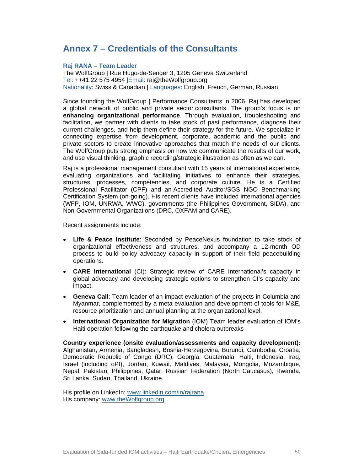# **Annex 7 – Credentials of the Consultants**

# **Raj RANA – Team Leader**

The WolfGroup | Rue Hugo-de-Senger 3, 1205 Geneva Switzerland Tel: ++41 22 575 4954 |Email: raj@theWolfgroup.org Nationality: Swiss & Canadian | Languages: English, French, German, Russian

Since founding the WolfGroup | Performance Consultants in 2006, Raj has developed a global network of public and private sector consultants. The group's focus is on **enhancing organizational performance**. Through evaluation, troubleshooting and facilitation, we partner with clients to take stock of past performance, diagnose their current challenges, and help them define their strategy for the future. We specialize in connecting expertise from development, corporate, academic and the public and private sectors to create innovative approaches that match the needs of our clients. The WolfGroup puts strong emphasis on how we communicate the results of our work, and use visual thinking, graphic recording/strategic illustration as often as we can.

Raj is a professional management consultant with 15 years of international experience, evaluating organizations and facilitating initiatives to enhance their strategies, structures, processes, competencies, and corporate culture. He is a Certified Professional Facilitator (CPF) and an Accredited Auditor/SGS NGO Benchmarking Certification System (on-going). His recent clients have included international agencies (WFP, IOM, UNRWA, WWC), governments (the Philippines Government, SIDA), and Non-Governmental Organizations (DRC, OXFAM and CARE).

Recent assignments include:

- **Life & Peace Institute**: Seconded by PeaceNexus foundation to take stock of organizational effectiveness and structures, and accompany a 12-month OD process to build policy advocacy capacity in support of their field peacebuilding operations.
- **CARE International** (CI): Strategic review of CARE International's capacity in global advocacy and developing strategic options to strengthen CI's capacity and impact.
- **Geneva Call**: Team leader of an impact evaluation of the projects in Columbia and Myanmar, complemented by a meta-evaluation and development of tools for M&E, resource prioritization and annual planning at the organizational level.
- **International Organization for Migration** (IOM) Team leader evaluation of IOM's Haiti operation following the earthquake and cholera outbreaks

**Country experience (onsite evaluation/assessments and capacity development):** Afghanistan, Armenia, Bangladesh, Bosnia-Herzegovina, Burundi, Cambodia, Croatia, Democratic Republic of Congo (DRC), Georgia, Guatemala, Haiti, Indonesia, Iraq, Israel (including oPt), Jordan, Kuwait, Maldives, Malaysia, Mongolia, Mozambique, Nepal, Pakistan, Philippines, Qatar, Russian Federation (North Caucasus), Rwanda, Sri Lanka, Sudan, Thailand, Ukraine.

His profile on LinkedIn: www.linkedin.com/in/rajrana His company: www.theWolfgroup.org